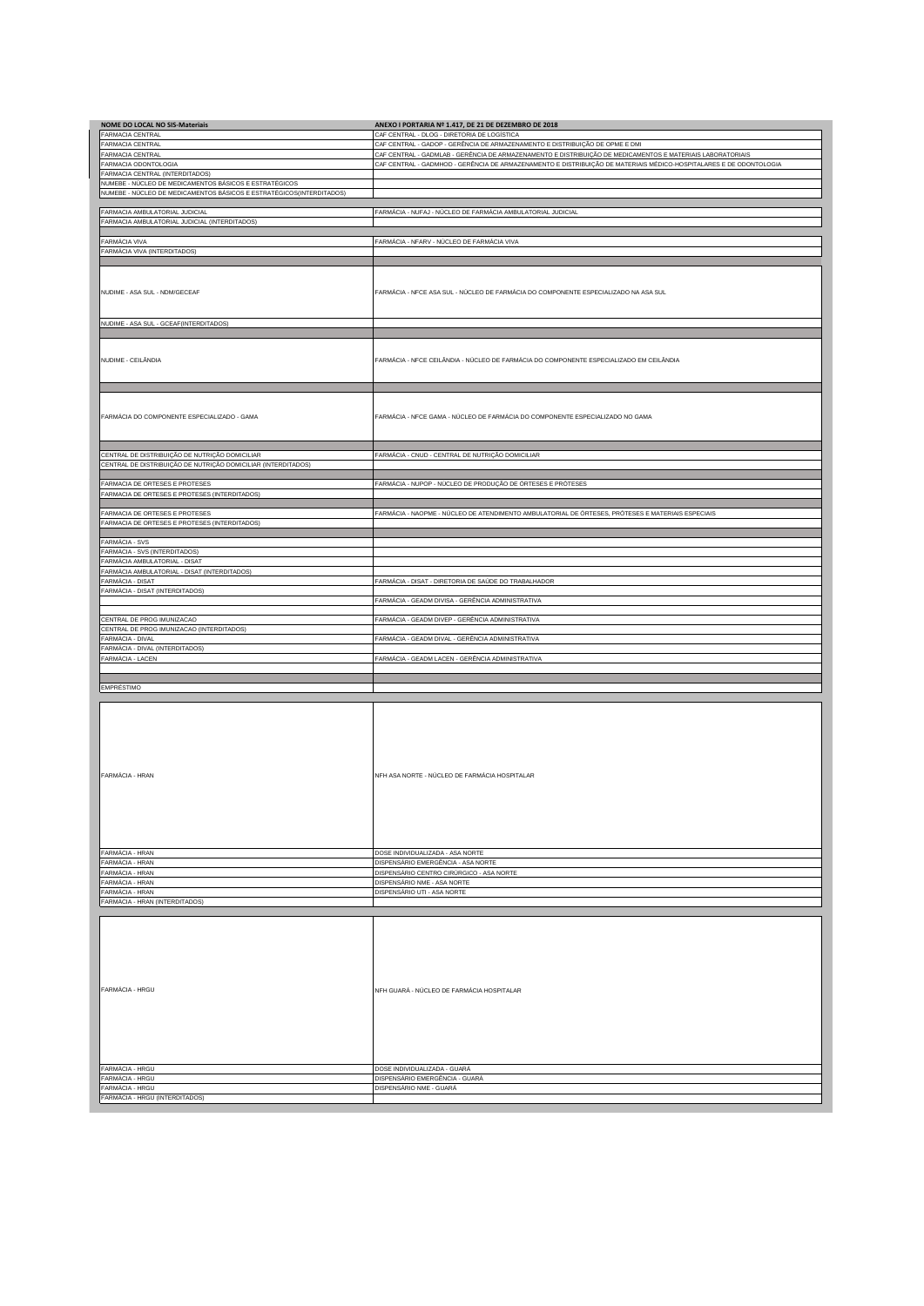| NOME DO LOCAL NO SIS-Materiais                                                 | ANEXO I PORTARIA Nº 1.417, DE 21 DE DEZEMBRO DE 2018                                                               |
|--------------------------------------------------------------------------------|--------------------------------------------------------------------------------------------------------------------|
| FARMACIA CENTRAL                                                               | CAF CENTRAL - DLOG - DIRETORIA DE LOGÍSTICA                                                                        |
| ARMACIA CENTRAL                                                                | CAF CENTRAL - GADOP - GERÊNCIA DE ARMAZENAMENTO E DISTRIBUIÇÃO DE OPME E DMI                                       |
| ARMACIA CENTRAL                                                                | CAF CENTRAL - GADMLAB - GERÊNCIA DE ARMAZENAMENTO E DISTRIBUIÇÃO DE MEDICAMENTOS E MATERIAIS LABORATORIAIS         |
| ARMACIA ODONTOLOGIA                                                            | CAF CENTRAL - GADMHOD - GERÊNCIA DE ARMAZENAMENTO E DISTRIBUIÇÃO DE MATERIAIS MÉDICO-HOSPITALARES E DE ODONTOLOGIA |
| ARMACIA CENTRAL (INTERDITADOS)                                                 |                                                                                                                    |
| <b>NUMEBE - NÚCLEO DE MEDICAMENTOS BÁSICOS E ESTRATÉGICOS</b>                  |                                                                                                                    |
| NUMEBE - NÚCLEO DE MEDICAMENTOS BÁSICOS E ESTRATÉGICOS(INTERDITADOS)           |                                                                                                                    |
|                                                                                |                                                                                                                    |
| FARMACIA AMBULATORIAL JUDICIAL                                                 | FARMÁCIA - NUFAJ - NÚCLEO DE FARMÁCIA AMBULATORIAL JUDICIAL                                                        |
| FARMACIA AMBULATORIAL JUDICIAL (INTERDITADOS)                                  |                                                                                                                    |
| FARMÁCIA VIVA                                                                  | FARMÁCIA - NFARV - NÚCLEO DE FARMÁCIA VIVA                                                                         |
| FARMÁCIA VIVA (INTERDITADOS)                                                   |                                                                                                                    |
|                                                                                |                                                                                                                    |
|                                                                                |                                                                                                                    |
|                                                                                |                                                                                                                    |
| NUDIME - ASA SUL - NDM/GECEAF                                                  | FARMÁCIA - NFCE ASA SUL - NÚCLEO DE FARMÁCIA DO COMPONENTE ESPECIALIZADO NA ASA SUL                                |
|                                                                                |                                                                                                                    |
|                                                                                |                                                                                                                    |
| NUDIME - ASA SUL - GCEAF(INTERDITADOS)                                         |                                                                                                                    |
|                                                                                |                                                                                                                    |
|                                                                                |                                                                                                                    |
|                                                                                |                                                                                                                    |
| NUDIME - CEILÂNDIA                                                             | FARMÁCIA - NFCE CEILÂNDIA - NÚCLEO DE FARMÁCIA DO COMPONENTE ESPECIALIZADO EM CEILÂNDIA                            |
|                                                                                |                                                                                                                    |
|                                                                                |                                                                                                                    |
|                                                                                |                                                                                                                    |
|                                                                                |                                                                                                                    |
| FARMÁCIA DO COMPONENTE ESPECIALIZADO - GAMA                                    | FARMÁCIA - NFCE GAMA - NÚCLEO DE FARMÁCIA DO COMPONENTE ESPECIALIZADO NO GAMA                                      |
|                                                                                |                                                                                                                    |
|                                                                                |                                                                                                                    |
|                                                                                |                                                                                                                    |
| ENTRAL DE DISTRIBUIÇÃO DE NUTRIÇÃO DOMICILIAR                                  | FARMÁCIA - CNUD - CENTRAL DE NUTRIÇÃO DOMICILIAR                                                                   |
| CENTRAL DE DISTRIBUIÇÃO DE NUTRIÇÃO DOMICILIAR (INTERDITADOS)                  |                                                                                                                    |
|                                                                                |                                                                                                                    |
| FARMACIA DE ORTESES E PROTESES<br>ARMACIA DE ORTESES E PROTESES (INTERDITADOS) | FARMÁCIA - NUPOP - NÚCLEO DE PRODUÇÃO DE ÓRTESES E PRÓTESES                                                        |
|                                                                                |                                                                                                                    |
| ARMACIA DE ORTESES E PROTESES                                                  | FARMÁCIA - NAOPME - NÚCLEO DE ATENDIMENTO AMBULATORIAL DE ÓRTESES, PRÓTESES E MATERIAIS ESPECIAIS                  |
| FARMACIA DE ORTESES E PROTESES (INTERDITADOS)                                  |                                                                                                                    |
|                                                                                |                                                                                                                    |
| ARMÁCIA - SVS                                                                  |                                                                                                                    |
| ARMÁCIA - SVS (INTERDITADOS)                                                   |                                                                                                                    |
| ARMÁCIA AMBULATORIAL - DISAT                                                   |                                                                                                                    |
| ARMÁCIA AMBULATORIAL - DISAT (INTERDITADOS)                                    |                                                                                                                    |
| FARMÁCIA - DISAT                                                               | FARMÁCIA - DISAT - DIRETORIA DE SAÚDE DO TRABALHADOR                                                               |
| FARMÁCIA - DISAT (INTERDITADOS)                                                |                                                                                                                    |
|                                                                                | FARMÁCIA - GEADM DIVISA - GERÊNCIA ADMINISTRATIVA                                                                  |
| CENTRAL DE PROG IMUNIZACAO                                                     | FARMÁCIA - GEADM DIVEP - GERÊNCIA ADMINISTRATIVA                                                                   |
| CENTRAL DE PROG IMUNIZACAO (INTERDITADOS)                                      |                                                                                                                    |
| ARMÁCIA - DIVAL                                                                | FARMÁCIA - GEADM DIVAL - GERÊNCIA ADMINISTRATIVA                                                                   |
| ARMÁCIA - DIVAL (INTERDITADOS)                                                 |                                                                                                                    |
| FARMÁCIA - LACEN                                                               | FARMÁCIA - GEADM LACEN - GERÊNCIA ADMINISTRATIVA                                                                   |
|                                                                                |                                                                                                                    |
| EMPRÉSTIMO                                                                     |                                                                                                                    |
|                                                                                |                                                                                                                    |
|                                                                                |                                                                                                                    |
|                                                                                |                                                                                                                    |
|                                                                                |                                                                                                                    |
|                                                                                |                                                                                                                    |
|                                                                                |                                                                                                                    |
|                                                                                |                                                                                                                    |
|                                                                                |                                                                                                                    |
|                                                                                |                                                                                                                    |
| FARMÁCIA - HRAN                                                                | NFH ASA NORTE - NÚCLEO DE FARMÁCIA HOSPITALAR                                                                      |
|                                                                                |                                                                                                                    |
|                                                                                |                                                                                                                    |
|                                                                                |                                                                                                                    |
|                                                                                |                                                                                                                    |
|                                                                                |                                                                                                                    |
|                                                                                |                                                                                                                    |
| FARMÁCIA - HRAN                                                                | DOSE INDIVIDUALIZADA - ASA NORTE                                                                                   |
| FARMÁCIA - HRAN                                                                | DISPENSÁRIO EMERGÊNCIA - ASA NORTE                                                                                 |
| ARMÁCIA - HRAN                                                                 | DISPENSÁRIO CENTRO CIRÚRGICO - ASA NORTE                                                                           |
| ARMÁCIA - HRAN                                                                 | DISPENSÁRIO NME - ASA NORTE                                                                                        |
| <b>FARMÁCIA - HRAN</b>                                                         | DISPENSÁRIO UTI - ASA NORTE                                                                                        |
| FARMÁCIA - HRAN (INTERDITADOS)                                                 |                                                                                                                    |
|                                                                                |                                                                                                                    |
|                                                                                |                                                                                                                    |
|                                                                                |                                                                                                                    |
|                                                                                |                                                                                                                    |
|                                                                                |                                                                                                                    |
|                                                                                |                                                                                                                    |
|                                                                                |                                                                                                                    |
| FARMÁCIA - HRGU                                                                | NFH GUARÁ - NÚCLEO DE FARMÁCIA HOSPITALAR                                                                          |
|                                                                                |                                                                                                                    |
|                                                                                |                                                                                                                    |
|                                                                                |                                                                                                                    |
|                                                                                |                                                                                                                    |
|                                                                                |                                                                                                                    |
|                                                                                |                                                                                                                    |
| FARMÁCIA - HRGU                                                                | DOSE INDIVIDUALIZADA - GUARÁ                                                                                       |
| FARMÁCIA - HRGU                                                                | DISPENSÁRIO EMERGÊNCIA - GUARÁ                                                                                     |
| FARMÁCIA - HRGU<br>FARMÁCIA - HRGU (INTERDITADOS)                              | DISPENSÁRIO NME - GUARÁ                                                                                            |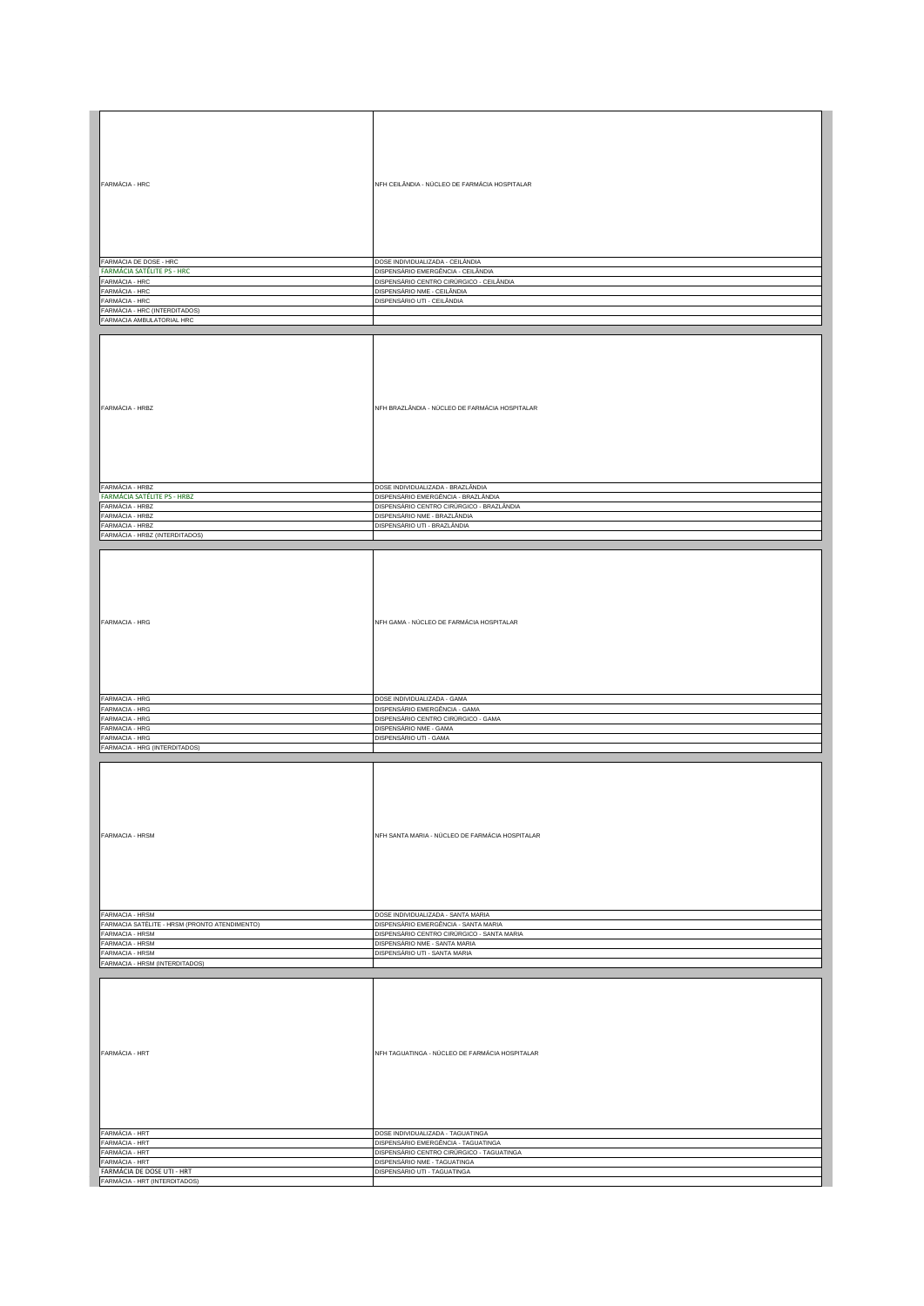| FARMÁCIA - HRC                                | NFH CEILÂNDIA - NÚCLEO DE FARMÁCIA HOSPITALAR                |
|-----------------------------------------------|--------------------------------------------------------------|
|                                               |                                                              |
|                                               |                                                              |
|                                               |                                                              |
|                                               |                                                              |
|                                               |                                                              |
|                                               |                                                              |
|                                               |                                                              |
|                                               |                                                              |
| FARMÁCIA DE DOSE - HRC                        | DOSE INDIVIDUALIZADA - CEILÂNDIA                             |
| <b>FARMÁCIA SATÉLITE PS - HRC</b>             | DISPENSÁRIO EMERGÊNCIA - CEILÂNDIA                           |
| FARMÁCIA - HRC                                | DISPENSÁRIO CENTRO CIRÚRGICO - CEILÂNDIA                     |
| FARMÁCIA - HRC                                | DISPENSÁRIO NME - CEILÂNDIA                                  |
| FARMÁCIA - HRC                                | DISPENSÁRIO UTI - CEILÂNDIA                                  |
| FARMÁCIA - HRC (INTERDITADOS)                 |                                                              |
| FARMACIA AMBULATORIAL HRC                     |                                                              |
|                                               |                                                              |
|                                               |                                                              |
|                                               |                                                              |
|                                               |                                                              |
|                                               |                                                              |
|                                               |                                                              |
|                                               |                                                              |
|                                               |                                                              |
|                                               |                                                              |
| FARMÁCIA - HRBZ                               | NFH BRAZLÂNDIA - NÚCLEO DE FARMÁCIA HOSPITALAR               |
|                                               |                                                              |
|                                               |                                                              |
|                                               |                                                              |
|                                               |                                                              |
|                                               |                                                              |
|                                               |                                                              |
|                                               |                                                              |
|                                               |                                                              |
| FARMÁCIA - HRBZ                               | DOSE INDIVIDUALIZADA - BRAZLÂNDIA                            |
| <b>FARMÁCIA SATÉLITE PS - HRBZ</b>            | DISPENSÁRIO EMERGÊNCIA - BRAZLÂNDIA                          |
| FARMÁCIA - HRBZ                               | DISPENSÁRIO CENTRO CIRÚRGICO - BRAZLÂNDIA                    |
| FARMÁCIA - HRBZ                               | DISPENSÁRIO NME - BRAZLÂNDIA                                 |
| FARMÁCIA - HRBZ                               | DISPENSÁRIO UTI - BRAZLÂNDIA                                 |
| FARMÁCIA - HRBZ (INTERDITADOS)                |                                                              |
|                                               |                                                              |
|                                               |                                                              |
|                                               |                                                              |
|                                               |                                                              |
|                                               |                                                              |
|                                               |                                                              |
|                                               |                                                              |
|                                               |                                                              |
|                                               |                                                              |
| FARMACIA - HRG                                | NFH GAMA - NÚCLEO DE FARMÁCIA HOSPITALAR                     |
|                                               |                                                              |
|                                               |                                                              |
|                                               |                                                              |
|                                               |                                                              |
|                                               |                                                              |
|                                               |                                                              |
|                                               |                                                              |
|                                               |                                                              |
|                                               |                                                              |
|                                               |                                                              |
| FARMACIA - HRG                                | DOSE INDIVIDUALIZADA - GAMA                                  |
| FARMACIA - HRG                                | DISPENSÁRIO EMERGÊNCIA - GAMA                                |
| FARMACIA - HRG                                | DISPENSÁRIO CENTRO CIRÚRGICO - GAMA                          |
| FARMACIA - HRG                                | DISPENSÁRIO NME - GAMA                                       |
| FARMACIA - HRG                                | DISPENSÁRIO UTI - GAMA                                       |
| FARMACIA - HRG (INTERDITADOS)                 |                                                              |
|                                               |                                                              |
|                                               |                                                              |
|                                               |                                                              |
|                                               |                                                              |
|                                               |                                                              |
|                                               |                                                              |
|                                               |                                                              |
|                                               |                                                              |
|                                               |                                                              |
| FARMACIA - HRSM                               | NFH SANTA MARIA - NÚCLEO DE FARMÁCIA HOSPITALAR              |
|                                               |                                                              |
|                                               |                                                              |
|                                               |                                                              |
|                                               |                                                              |
|                                               |                                                              |
|                                               |                                                              |
|                                               |                                                              |
|                                               |                                                              |
| FARMACIA - HRSM                               | DOSE INDIVIDUALIZADA - SANTA MARIA                           |
| FARMACIA SATÉLITE - HRSM (PRONTO ATENDIMENTO) | DISPENSÁRIO EMERGÊNCIA - SANTA MARIA                         |
| FARMACIA - HRSM                               | DISPENSÁRIO CENTRO CIRÚRGICO - SANTA MARIA                   |
|                                               |                                                              |
| FARMACIA - HRSM                               | DISPENSÁRIO NME - SANTA MARIA                                |
| FARMACIA - HRSM                               | DISPENSÁRIO UTI - SANTA MARIA                                |
| FARMACIA - HRSM (INTERDITADOS)                |                                                              |
|                                               |                                                              |
|                                               |                                                              |
|                                               |                                                              |
|                                               |                                                              |
|                                               |                                                              |
|                                               |                                                              |
|                                               |                                                              |
|                                               |                                                              |
|                                               |                                                              |
| FARMÁCIA - HRT                                | NFH TAGUATINGA - NÚCLEO DE FARMÁCIA HOSPITALAR               |
|                                               |                                                              |
|                                               |                                                              |
|                                               |                                                              |
|                                               |                                                              |
|                                               |                                                              |
|                                               |                                                              |
|                                               |                                                              |
|                                               |                                                              |
| FARMÁCIA - HRT                                | DOSE INDIVIDUALIZADA - TAGUATINGA                            |
| FARMÁCIA - HRT                                | DISPENSÁRIO EMERGÊNCIA - TAGUATINGA                          |
| FARMÁCIA - HRT                                |                                                              |
|                                               | DISPENSÁRIO CENTRO CIRÚRGICO - TAGUATINGA                    |
| FARMÁCIA - HRT<br>FARMÁCIA DE DOSE UTI - HRT  | DISPENSÁRIO NME - TAGUATINGA<br>DISPENSÁRIO UTI - TAGUATINGA |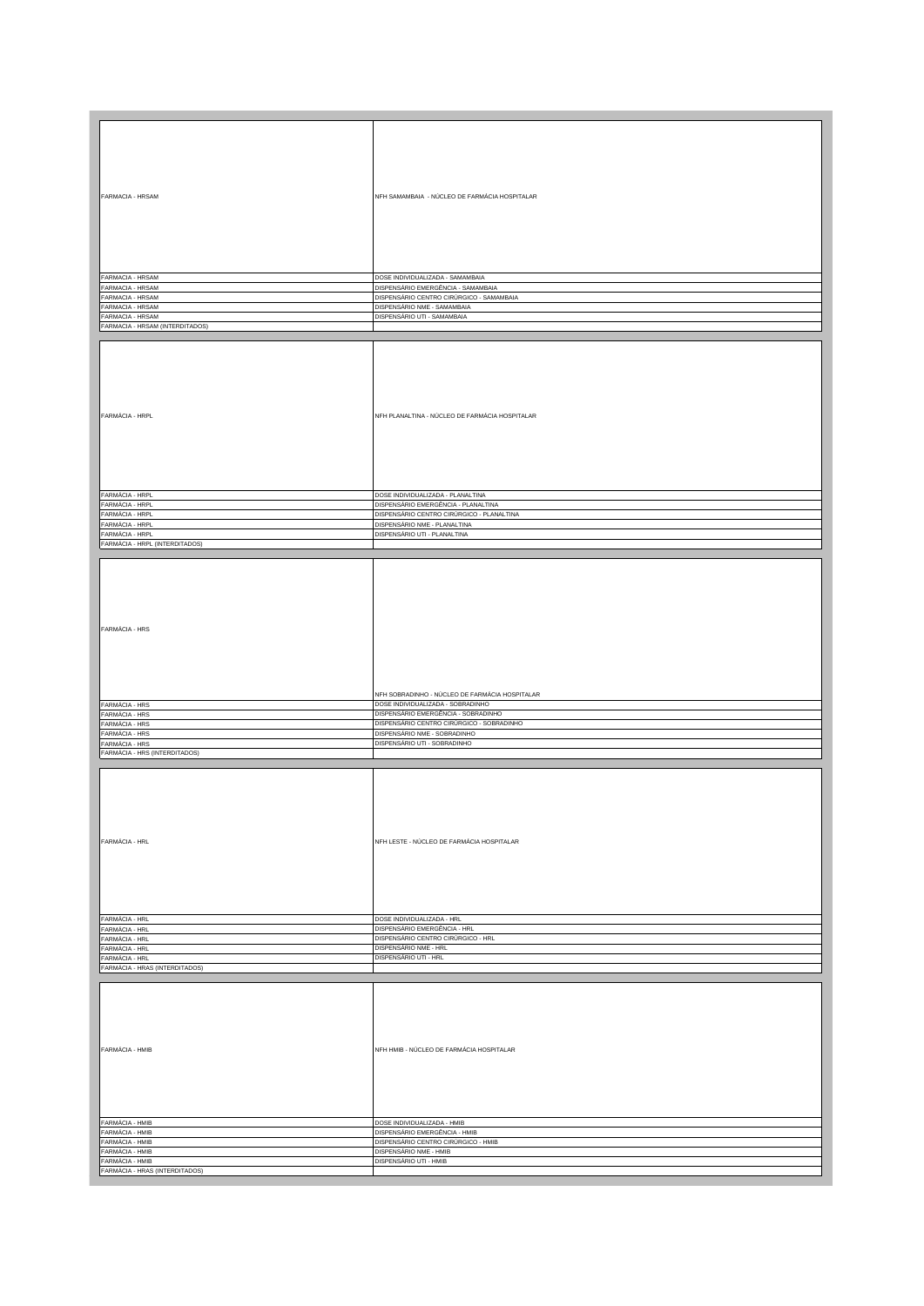| FARMACIA - HRSAM                                  | NFH SAMAMBAIA - NÚCLEO DE FARMÁCIA HOSPITALAR  |
|---------------------------------------------------|------------------------------------------------|
|                                                   |                                                |
|                                                   |                                                |
|                                                   |                                                |
|                                                   |                                                |
|                                                   |                                                |
|                                                   |                                                |
|                                                   |                                                |
|                                                   |                                                |
|                                                   |                                                |
|                                                   |                                                |
| FARMACIA - HRSAM                                  | DOSE INDIVIDUALIZADA - SAMAMBAIA               |
| FARMACIA - HRSAM                                  | DISPENSÁRIO EMERGÊNCIA - SAMAMBAIA             |
| FARMACIA - HRSAM                                  | DISPENSÁRIO CENTRO CIRÚRGICO - SAMAMBAIA       |
|                                                   |                                                |
| ARMACIA - HRSAM                                   | DISPENSÁRIO NME - SAMAMBAIA                    |
| ARMACIA - HRSAM                                   | DISPENSÁRIO UTI - SAMAMBAIA                    |
| FARMACIA - HRSAM (INTERDITADOS)                   |                                                |
|                                                   |                                                |
|                                                   |                                                |
|                                                   |                                                |
|                                                   |                                                |
|                                                   |                                                |
|                                                   |                                                |
|                                                   |                                                |
|                                                   |                                                |
|                                                   |                                                |
|                                                   |                                                |
|                                                   |                                                |
| FARMÁCIA - HRPL                                   | NFH PLANALTINA - NÚCLEO DE FARMÁCIA HOSPITALAR |
|                                                   |                                                |
|                                                   |                                                |
|                                                   |                                                |
|                                                   |                                                |
|                                                   |                                                |
|                                                   |                                                |
|                                                   |                                                |
|                                                   |                                                |
|                                                   |                                                |
|                                                   |                                                |
| FARMÁCIA - HRPL                                   | DOSE INDIVIDUALIZADA - PLANALTINA              |
|                                                   |                                                |
| FARMÁCIA - HRPL                                   | DISPENSÁRIO EMERGÊNCIA - PLANALTINA            |
| FARMÁCIA - HRPL                                   | DISPENSÁRIO CENTRO CIRÚRGICO - PLANALTINA      |
| ARMÁCIA - HRPL                                    | DISPENSÁRIO NME - PLANALTINA                   |
| ARMÁCIA - HRPL                                    | DISPENSÁRIO UTI - PLANALTINA                   |
|                                                   |                                                |
| FARMÁCIA - HRPL (INTERDITADOS)                    |                                                |
|                                                   |                                                |
|                                                   |                                                |
|                                                   |                                                |
|                                                   |                                                |
|                                                   |                                                |
|                                                   |                                                |
|                                                   |                                                |
|                                                   |                                                |
|                                                   |                                                |
|                                                   |                                                |
|                                                   |                                                |
| FARMÁCIA - HRS                                    |                                                |
|                                                   |                                                |
|                                                   |                                                |
|                                                   |                                                |
|                                                   |                                                |
|                                                   |                                                |
|                                                   |                                                |
|                                                   |                                                |
|                                                   |                                                |
|                                                   | NFH SOBRADINHO - NÚCLEO DE FARMÁCIA HOSPITALAR |
|                                                   |                                                |
| FARMÁCIA - HRS                                    | DOSE INDIVIDUALIZADA - SOBRADINHO              |
| FARMÁCIA - HRS                                    | DISPENSÁRIO EMERGÊNCIA - SOBRADINHO            |
|                                                   | DISPENSÁRIO CENTRO CIRÚRGICO - SOBRADINHO      |
|                                                   |                                                |
| ARMÁCIA - HRS                                     |                                                |
| ARMÁCIA - HRS                                     | DISPENSÁRIO NME - SOBRADINHO                   |
| <b>ARMÁCIA - HRS</b>                              | DISPENSÁRIO UTI - SOBRADINHO                   |
|                                                   |                                                |
| FARMÁCIA - HRS (INTERDITADOS)                     |                                                |
|                                                   |                                                |
|                                                   |                                                |
|                                                   |                                                |
|                                                   |                                                |
|                                                   |                                                |
|                                                   |                                                |
|                                                   |                                                |
|                                                   |                                                |
|                                                   |                                                |
|                                                   |                                                |
|                                                   |                                                |
| FARMÁCIA - HRL                                    | NFH LESTE - NÚCLEO DE FARMÁCIA HOSPITALAR      |
|                                                   |                                                |
|                                                   |                                                |
|                                                   |                                                |
|                                                   |                                                |
|                                                   |                                                |
|                                                   |                                                |
|                                                   |                                                |
|                                                   |                                                |
|                                                   |                                                |
| FARMÁCIA - HRL                                    | DOSE INDIVIDUALIZADA - HRL                     |
| FARMÁCIA - HRL                                    | DISPENSÁRIO EMERGÊNCIA - HRL                   |
|                                                   |                                                |
| FARMÁCIA - HRL                                    | DISPENSÁRIO CENTRO CIRÚRGICO - HRL             |
| FARMÁCIA - HRL                                    | DISPENSÁRIO NME - HRL                          |
|                                                   | DISPENSÁRIO UTI - HRL                          |
| FARMÁCIA - HRL                                    |                                                |
| FARMÁCIA - HRAS (INTERDITADOS)                    |                                                |
|                                                   |                                                |
|                                                   |                                                |
|                                                   |                                                |
|                                                   |                                                |
|                                                   |                                                |
|                                                   |                                                |
|                                                   |                                                |
|                                                   |                                                |
|                                                   |                                                |
|                                                   |                                                |
| FARMÁCIA - HMIB                                   | NFH HMIB - NÚCLEO DE FARMÁCIA HOSPITALAR       |
|                                                   |                                                |
|                                                   |                                                |
|                                                   |                                                |
|                                                   |                                                |
|                                                   |                                                |
|                                                   |                                                |
|                                                   |                                                |
|                                                   |                                                |
|                                                   |                                                |
| FARMÁCIA - HMIB                                   | DOSE INDIVIDUALIZADA - HMIB                    |
| FARMÁCIA - HMIB                                   | DISPENSÁRIO EMERGÊNCIA - HMIB                  |
| FARMÁCIA - HMIB                                   | DISPENSÁRIO CENTRO CIRÚRGICO - HMIB            |
| FARMÁCIA - HMIB                                   | DISPENSÁRIO NME - HMIB                         |
|                                                   |                                                |
| FARMÁCIA - HMIB<br>FARMÁCIA - HRAS (INTERDITADOS) | DISPENSÁRIO UTI - HMIB                         |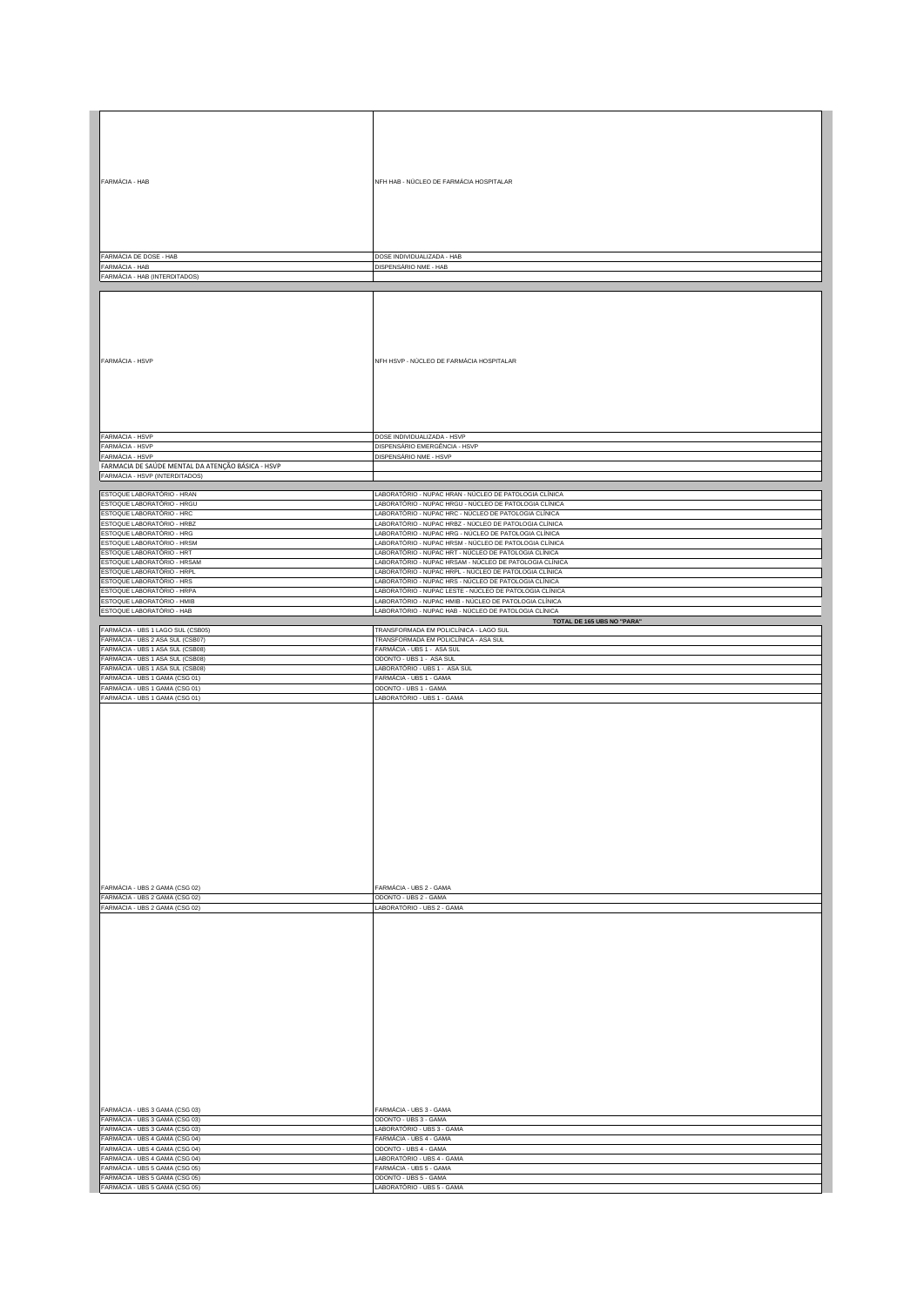| FARMÁCIA - HAB                                                       | NFH HAB - NÚCLEO DE FARMÁCIA HOSPITALAR                                                                           |
|----------------------------------------------------------------------|-------------------------------------------------------------------------------------------------------------------|
|                                                                      |                                                                                                                   |
|                                                                      |                                                                                                                   |
| FARMÁCIA DE DOSE - HAB                                               | DOSE INDIVIDUALIZADA - HAB                                                                                        |
| FARMÁCIA - HAB<br>FARMÁCIA - HAB (INTERDITADOS)                      | DISPENSÁRIO NME - HAB                                                                                             |
|                                                                      |                                                                                                                   |
|                                                                      |                                                                                                                   |
|                                                                      |                                                                                                                   |
| FARMÁCIA - HSVP                                                      | NFH HSVP - NÚCLEO DE FARMÁCIA HOSPITALAR                                                                          |
|                                                                      |                                                                                                                   |
|                                                                      | DOSE INDIVIDUALIZADA - HSVP                                                                                       |
| FARMÁCIA - HSVP<br>FARMÁCIA - HSVP                                   | DISPENSÁRIO EMERGÊNCIA - HSVP                                                                                     |
| FARMÁCIA - HSVP<br>FARMACIA DE SAÚDE MENTAL DA ATENÇÃO BÁSICA - HSVP | DISPENSÁRIO NME - HSVP                                                                                            |
| FARMÁCIA - HSVP (INTERDITADOS)                                       |                                                                                                                   |
|                                                                      |                                                                                                                   |
| ESTOQUE LABORATÓRIO - HRAN<br>ESTOQUE LABORATÓRIO - HRGU             | LABORATÓRIO - NUPAC HRAN - NÚCLEO DE PATOLOGIA CLÍNICA<br>LABORATÓRIO - NUPAC HRGU - NÚCLEO DE PATOLOGIA CLÍNICA  |
| ESTOQUE LABORATÓRIO - HRC                                            | LABORATÓRIO - NUPAC HRC - NÚCLEO DE PATOLOGIA CLÍNICA                                                             |
| ESTOQUE LABORATÓRIO - HRBZ<br>ESTOQUE LABORATÓRIO - HRG              | LABORATÓRIO - NUPAC HRBZ - NÚCLEO DE PATOLOGIA CLÍNICA<br>LABORATÓRIO - NUPAC HRG - NÚCLEO DE PATOLOGIA CLÍNICA   |
| ESTOQUE LABORATÓRIO - HRSM                                           | LABORATÓRIO - NUPAC HRSM - NÚCLEO DE PATOLOGIA CLÍNICA                                                            |
| ESTOQUE LABORATÓRIO - HRT                                            | LABORATÓRIO - NUPAC HRT - NÚCLEO DE PATOLOGIA CLÍNICA                                                             |
| ESTOQUE LABORATÓRIO - HRSAM<br>ESTOQUE LABORATÓRIO - HRPL            | LABORATÓRIO - NUPAC HRSAM - NÚCLEO DE PATOLOGIA CLÍNICA<br>LABORATÓRIO - NUPAC HRPL - NÚCLEO DE PATOLOGIA CLÍNICA |
| ESTOQUE LABORATÓRIO - HRS                                            | LABORATÓRIO - NUPAC HRS - NÚCLEO DE PATOLOGIA CLÍNICA                                                             |
| ESTOQUE LABORATÓRIO - HRPA<br>ESTOQUE LABORATÓRIO - HMIB             | LABORATÓRIO - NUPAC LESTE - NÚCLEO DE PATOLOGIA CLÍNICA<br>LABORATÓRIO - NUPAC HMIB - NÚCLEO DE PATOLOGIA CLÍNICA |
| ESTOQUE LABORATÓRIO - HAB                                            | LABORATÓRIO - NUPAC HAB - NÚCLEO DE PATOLOGIA CLÍNICA                                                             |
| FARMÁCIA - UBS 1 LAGO SUL (CSB05)                                    | TOTAL DE 165 UBS NO "PARA"<br>TRANSFORMADA EM POLICLÍNICA - LAGO SUL                                              |
| FARMÁCIA - UBS 2 ASA SUL (CSB07)                                     | TRANSFORMADA EM POLICLÍNICA - ASA SUL                                                                             |
| FARMÁCIA - UBS 1 ASA SUL (CSB08)                                     | FARMÁCIA - UBS 1 - ASA SUL                                                                                        |
|                                                                      |                                                                                                                   |
| FARMÁCIA - UBS 1 ASA SUL (CSB08)<br>FARMÁCIA - UBS 1 ASA SUL (CSB08) | ODONTO - UBS 1 - ASA SUL<br>LABORATÓRIO - UBS 1 - ASA SUL                                                         |
| FARMÁCIA - UBS 1 GAMA (CSG 01)                                       | FARMÁCIA - UBS 1 - GAMA                                                                                           |
| FARMÁCIA - UBS 1 GAMA (CSG 01)<br>FARMÁCIA - UBS 1 GAMA (CSG 01)     | ODONTO - UBS 1 - GAMA<br>LABORATÓRIO - UBS 1 - GAMA                                                               |
|                                                                      |                                                                                                                   |
|                                                                      |                                                                                                                   |
|                                                                      |                                                                                                                   |
|                                                                      |                                                                                                                   |
|                                                                      |                                                                                                                   |
|                                                                      |                                                                                                                   |
|                                                                      |                                                                                                                   |
|                                                                      |                                                                                                                   |
|                                                                      |                                                                                                                   |
|                                                                      |                                                                                                                   |
|                                                                      |                                                                                                                   |
|                                                                      |                                                                                                                   |
|                                                                      |                                                                                                                   |
| FARMÁCIA - UBS 2 GAMA (CSG 02)                                       | FARMÁCIA - UBS 2 - GAMA                                                                                           |
| FARMÁCIA - UBS 2 GAMA (CSG 02)                                       | ODONTO - UBS 2 - GAMA<br>LABORATÓRIO - UBS 2 - GAMA                                                               |
| FARMÁCIA - UBS 2 GAMA (CSG 02)                                       |                                                                                                                   |
|                                                                      |                                                                                                                   |
|                                                                      |                                                                                                                   |
|                                                                      |                                                                                                                   |
|                                                                      |                                                                                                                   |
|                                                                      |                                                                                                                   |
|                                                                      |                                                                                                                   |
|                                                                      |                                                                                                                   |
|                                                                      |                                                                                                                   |
|                                                                      |                                                                                                                   |
|                                                                      |                                                                                                                   |
|                                                                      |                                                                                                                   |
|                                                                      |                                                                                                                   |
|                                                                      |                                                                                                                   |
| FARMÁCIA - UBS 3 GAMA (CSG 03)                                       | FARMÁCIA - UBS 3 - GAMA                                                                                           |
| FARMÁCIA - UBS 3 GAMA (CSG 03)                                       | ODONTO - UBS 3 - GAMA                                                                                             |
| FARMÁCIA - UBS 3 GAMA (CSG 03)<br>FARMÁCIA - UBS 4 GAMA (CSG 04)     | LABORATÓRIO - UBS 3 - GAMA<br>FARMÁCIA - UBS 4 - GAMA                                                             |
| FARMÁCIA - UBS 4 GAMA (CSG 04)                                       | ODONTO - UBS 4 - GAMA                                                                                             |
| FARMÁCIA - UBS 4 GAMA (CSG 04)<br>FARMÁCIA - UBS 5 GAMA (CSG 05)     | LABORATÓRIO - UBS 4 - GAMA<br>FARMÁCIA - UBS 5 - GAMA                                                             |
| FARMÁCIA - UBS 5 GAMA (CSG 05)<br>FARMÁCIA - UBS 5 GAMA (CSG 05)     | ODONTO - UBS 5 - GAMA<br>LABORATÓRIO - UBS 5 - GAMA                                                               |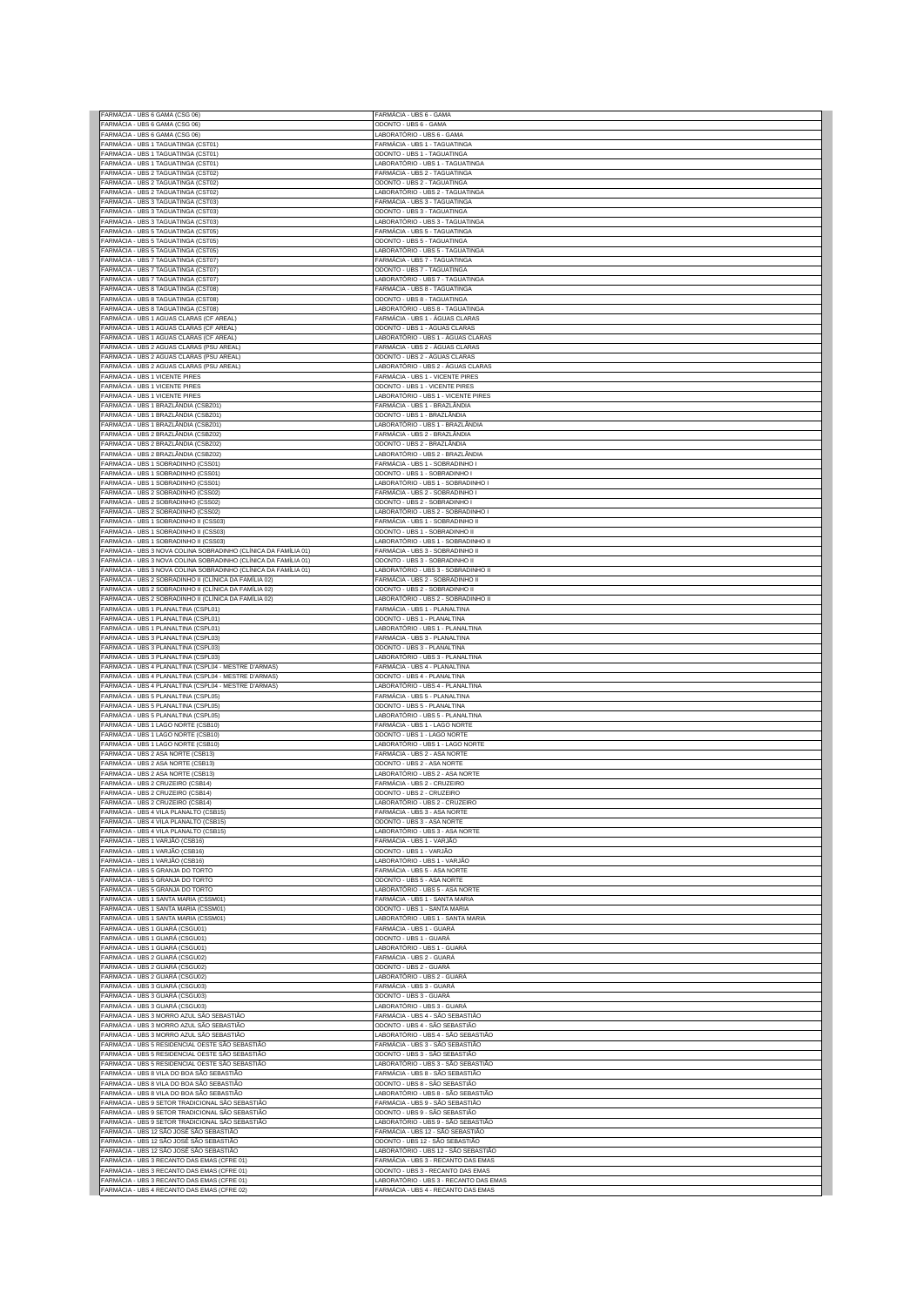| FARMÁCIA - UBS 6 GAMA (CSG 06)                                                                                                     | FARMÁCIA - UBS 6 - GAMA                                                       |
|------------------------------------------------------------------------------------------------------------------------------------|-------------------------------------------------------------------------------|
| FARMÁCIA - UBS 6 GAMA (CSG 06)<br>FARMÁCIA - UBS 6 GAMA (CSG 06)                                                                   | ODONTO - UBS 6 - GAMA<br>LABORATÓRIO - UBS 6 - GAMA                           |
| FARMÁCIA - UBS 1 TAGUATINGA (CST01)                                                                                                | FARMÁCIA - UBS 1 - TAGUATINGA                                                 |
| FARMÁCIA - UBS 1 TAGUATINGA (CST01)<br>FARMÁCIA - UBS 1 TAGUATINGA (CST01)                                                         | ODONTO - UBS 1 - TAGUATINGA                                                   |
| FARMÁCIA - UBS 2 TAGUATINGA (CST02)                                                                                                | LABORATÓRIO - UBS 1 - TAGUATINGA<br>FARMÁCIA - UBS 2 - TAGUATINGA             |
| FARMÁCIA - UBS 2 TAGUATINGA (CST02)                                                                                                | ODONTO - UBS 2 - TAGUATINGA                                                   |
| FARMÁCIA - UBS 2 TAGUATINGA (CST02)<br>FARMÁCIA - UBS 3 TAGUATINGA (CST03)                                                         | LABORATÓRIO - UBS 2 - TAGUATINGA<br>-ARMÁCIA - UBS 3 - TAGUATINGA             |
| FARMÁCIA - UBS 3 TAGUATINGA (CST03)                                                                                                | ODONTO - UBS 3 - TAGUATINGA                                                   |
| FARMÁCIA - UBS 3 TAGUATINGA (CST03)                                                                                                | LABORATÓRIO - UBS 3 - TAGUATINGA                                              |
| FARMÁCIA - UBS 5 TAGUATINGA (CST05)<br>FARMÁCIA - UBS 5 TAGUATINGA (CST05)                                                         | FARMÁCIA - UBS 5 - TAGUATINGA<br>ODONTO - UBS 5 - TAGUATINGA                  |
| FARMÁCIA - UBS 5 TAGUATINGA (CST05)                                                                                                | LABORATÓRIO - UBS 5 - TAGUATINGA                                              |
| FARMÁCIA - UBS 7 TAGUATINGA (CST07)                                                                                                | FARMÁCIA - UBS 7 - TAGUATINGA                                                 |
| FARMÁCIA - UBS 7 TAGUATINGA (CST07)<br>FARMÁCIA - UBS 7 TAGUATINGA (CST07)                                                         | ODONTO - UBS 7 - TAGUATINGA<br>LABORATÓRIO - UBS 7 - TAGUATINGA               |
| FARMÁCIA - UBS 8 TAGUATINGA (CST08)                                                                                                | FARMÁCIA - UBS 8 - TAGUATINGA                                                 |
| FARMÁCIA - UBS 8 TAGUATINGA (CST08)                                                                                                | ODONTO - UBS 8 - TAGUATINGA                                                   |
| FARMÁCIA - UBS 8 TAGUATINGA (CST08)<br>FARMÁCIA - UBS 1 AGUAS CLARAS (CF AREAL)                                                    | LABORATÓRIO - UBS 8 - TAGUATINGA<br>FARMÁCIA - UBS 1 - ÁGUAS CLARAS           |
| FARMÁCIA - UBS 1 AGUAS CLARAS (CF AREAL)                                                                                           | ODONTO - UBS 1 - ÁGUAS CLARAS                                                 |
| FARMÁCIA - UBS 1 AGUAS CLARAS (CF AREAL)                                                                                           | LABORATÓRIO - UBS 1 - ÁGUAS CLARAS                                            |
| FARMÁCIA - UBS 2 AGUAS CLARAS (PSU AREAL)<br>FARMÁCIA - UBS 2 AGUAS CLARAS (PSU AREAL)                                             | FARMÁCIA - UBS 2 - ÁGUAS CLARAS<br>ODONTO - UBS 2 - ÁGUAS CLARAS              |
| FARMÁCIA - UBS 2 AGUAS CLARAS (PSU AREAL)                                                                                          | LABORATÓRIO - UBS 2 - ÁGUAS CLARAS                                            |
| FARMÁCIA - UBS 1 VICENTE PIRES                                                                                                     | FARMÁCIA - UBS 1 - VICENTE PIRES                                              |
| FARMÁCIA - UBS 1 VICENTE PIRES<br>FARMÁCIA - UBS 1 VICENTE PIRES                                                                   | ODONTO - UBS 1 - VICENTE PIRES<br>LABORATÓRIO - UBS 1 - VICENTE PIRES         |
| FARMÁCIA - UBS 1 BRAZLÂNDIA (CSBZ01)                                                                                               | FARMÁCIA - UBS 1 - BRAZLÂNDIA                                                 |
| FARMÁCIA - UBS 1 BRAZLÂNDIA (CSBZ01)                                                                                               | ODONTO - UBS 1 - BRAZLÂNDIA                                                   |
| FARMÁCIA - UBS 1 BRAZLÂNDIA (CSBZ01)<br>FARMÁCIA - UBS 2 BRAZLÂNDIA (CSBZ02)                                                       | LABORATÓRIO - UBS 1 - BRAZLÂNDIA<br>FARMÁCIA - UBS 2 - BRAZLÂNDIA             |
| FARMÁCIA - UBS 2 BRAZLÂNDIA (CSBZ02)                                                                                               | ODONTO - UBS 2 - BRAZLÂNDIA                                                   |
| FARMÁCIA - UBS 2 BRAZLÂNDIA (CSBZ02)                                                                                               | LABORATÓRIO - UBS 2 - BRAZLÂNDIA                                              |
| FARMÁCIA - UBS 1 SOBRADINHO (CSS01)<br>FARMÁCIA - UBS 1 SOBRADINHO (CSS01)                                                         | FARMÁCIA - UBS 1 - SOBRADINHO I<br>ODONTO - UBS 1 - SOBRADINHO I              |
| FARMÁCIA - UBS 1 SOBRADINHO (CSS01)                                                                                                | LABORATÓRIO - UBS 1 - SOBRADINHO I                                            |
| FARMÁCIA - UBS 2 SOBRADINHO (CSS02)                                                                                                | FARMÁCIA - UBS 2 - SOBRADINHO I                                               |
| FARMÁCIA - UBS 2 SOBRADINHO (CSS02)<br>FARMÁCIA - UBS 2 SOBRADINHO (CSS02)                                                         | ODONTO - UBS 2 - SOBRADINHO I<br>LABORATÓRIO - UBS 2 - SOBRADINHO I           |
| FARMÁCIA - UBS 1 SOBRADINHO II (CSS03)                                                                                             | FARMÁCIA - UBS 1 - SOBRADINHO II                                              |
| FARMÁCIA - UBS 1 SOBRADINHO II (CSS03)                                                                                             | ODONTO - UBS 1 - SOBRADINHO II                                                |
| FARMÁCIA - UBS 1 SOBRADINHO II (CSS03)                                                                                             | LABORATÓRIO - UBS 1 - SOBRADINHO II                                           |
| FARMÁCIA - UBS 3 NOVA COLINA SOBRADINHO (CLÍNICA DA FAMÍLIA 01)<br>FARMÁCIA - UBS 3 NOVA COLINA SOBRADINHO (CLÍNICA DA FAMÍLIA 01) | FARMÁCIA - UBS 3 - SOBRADINHO II<br>ODONTO - UBS 3 - SOBRADINHO II            |
| FARMÁCIA - UBS 3 NOVA COLINA SOBRADINHO (CLÍNICA DA FAMÍLIA 01)                                                                    | LABORATÓRIO - UBS 3 - SOBRADINHO II                                           |
| FARMÁCIA - UBS 2 SOBRADINHO II (CLÍNICA DA FAMÍLIA 02)                                                                             | FARMÁCIA - UBS 2 - SOBRADINHO II                                              |
| FARMÁCIA - UBS 2 SOBRADINHO II (CLÍNICA DA FAMÍLIA 02)<br>FARMÁCIA - UBS 2 SOBRADINHO II (CLÍNICA DA FAMÍLIA 02)                   | ODONTO - UBS 2 - SOBRADINHO II<br>LABORATÓRIO - UBS 2 - SOBRADINHO II         |
| FARMÁCIA - UBS 1 PLANALTINA (CSPL01)                                                                                               | FARMÁCIA - UBS 1 - PLANALTINA                                                 |
| FARMÁCIA - UBS 1 PLANALTINA (CSPL01)                                                                                               | ODONTO - UBS 1 - PLANALTINA                                                   |
| FARMÁCIA - UBS 1 PLANALTINA (CSPL01)<br>FARMÁCIA - UBS 3 PLANALTINA (CSPL03)                                                       | LABORATÓRIO - UBS 1 - PLANALTINA<br>FARMÁCIA - UBS 3 - PLANALTINA             |
|                                                                                                                                    |                                                                               |
| FARMÁCIA - UBS 3 PLANALTINA (CSPL03)                                                                                               | ODONTO - UBS 3 - PLANALTINA                                                   |
| FARMÁCIA - UBS 3 PLANALTINA (CSPL03)                                                                                               | LABORATÓRIO - UBS 3 - PLANALTINA                                              |
| FARMÁCIA - UBS 4 PLANALTINA (CSPL04 - MESTRE D'ARMAS)                                                                              | FARMÁCIA - UBS 4 - PLANALTINA                                                 |
| FARMÁCIA - UBS 4 PLANALTINA (CSPL04 - MESTRE D'ARMAS)<br>FARMÁCIA - UBS 4 PLANALTINA (CSPL04 - MESTRE D'ARMAS)                     | ODONTO - UBS 4 - PLANALTINA<br>LABORATÓRIO - UBS 4 - PLANALTINA               |
| FARMÁCIA - UBS 5 PLANALTINA (CSPL05)                                                                                               | FARMÁCIA - UBS 5 - PLANALTINA                                                 |
| FARMÁCIA - UBS 5 PLANALTINA (CSPL05)                                                                                               | ODONTO - UBS 5 - PLANALTINA<br>LABORATÓRIO - UBS 5 - PLANALTINA               |
| FARMÁCIA - UBS 5 PLANALTINA (CSPL05)<br>FARMÁCIA - UBS 1 LAGO NORTE (CSB10)                                                        | FARMÁCIA - UBS 1 - LAGO NORTE                                                 |
| FARMÁCIA - UBS 1 LAGO NORTE (CSB10)                                                                                                | ODONTO - UBS 1 - LAGO NORTE                                                   |
| FARMÁCIA - UBS 1 LAGO NORTE (CSB10)                                                                                                | LABORATÓRIO - UBS 1 - LAGO NORTE<br>FARMÁCIA - UBS 2 - ASA NORTE              |
| FARMÁCIA - UBS 2 ASA NORTE (CSB13)<br>FARMÁCIA - UBS 2 ASA NORTE (CSB13)                                                           | ODONTO - UBS 2 - ASA NORTE                                                    |
| FARMÁCIA - UBS 2 ASA NORTE (CSB13)                                                                                                 | LABORATÓRIO - UBS 2 - ASA NORTE                                               |
| FARMÁCIA - UBS 2 CRUZEIRO (CSB14)<br>FARMÁCIA - UBS 2 CRUZEIRO (CSB14)                                                             | FARMÁCIA - UBS 2 - CRUZEIRO<br>ODONTO - UBS 2 - CRUZEIRO                      |
| FARMÁCIA - UBS 2 CRUZEIRO (CSB14)                                                                                                  | LABORATÓRIO - UBS 2 - CRUZEIRO                                                |
| FARMÁCIA - UBS 4 VILA PLANALTO (CSB15)                                                                                             | FARMÁCIA - UBS 3 - ASA NORTE                                                  |
| FARMÁCIA - UBS 4 VILA PLANALTO (CSB15)<br>FARMÁCIA - UBS 4 VILA PLANALTO (CSB15)                                                   | ODONTO - UBS 3 - ASA NORTE<br>LABORATÓRIO - UBS 3 - ASA NORTE                 |
| FARMÁCIA - UBS 1 VARJÃO (CSB16)                                                                                                    | FARMÁCIA - UBS 1 - VARJÃO                                                     |
| FARMÁCIA - UBS 1 VARJÃO (CSB16)                                                                                                    | ODONTO - UBS 1 - VARJÃO                                                       |
| FARMÁCIA - UBS 1 VARJÃO (CSB16)<br>FARMÁCIA - UBS 5 GRANJA DO TORTO                                                                | LABORATÓRIO - UBS 1 - VARJÃO<br>FARMÁCIA - UBS 5 - ASA NORTE                  |
| FARMÁCIA - UBS 5 GRANJA DO TORTO                                                                                                   | ODONTO - UBS 5 - ASA NORTE                                                    |
| FARMÁCIA - UBS 5 GRANJA DO TORTO                                                                                                   | LABORATÓRIO - UBS 5 - ASA NORTE                                               |
| FARMÁCIA - UBS 1 SANTA MARIA (CSSM01)<br>FARMÁCIA - UBS 1 SANTA MARIA (CSSM01)                                                     | FARMÁCIA - UBS 1 - SANTA MARIA<br>ODONTO - UBS 1 - SANTA MARIA                |
| FARMÁCIA - UBS 1 SANTA MARIA (CSSM01)                                                                                              | ABORATÓRIO - UBS 1 - SANTA MARIA                                              |
| FARMÁCIA - UBS 1 GUARÁ (CSGU01)                                                                                                    | FARMÁCIA - UBS 1 - GUARÁ                                                      |
| FARMÁCIA - UBS 1 GUARÁ (CSGU01)<br>FARMÁCIA - UBS 1 GUARÁ (CSGU01)                                                                 | ODONTO - UBS 1 - GUARÁ<br>LABORATÓRIO - UBS 1 - GUARÁ                         |
| FARMÁCIA - UBS 2 GUARÁ (CSGU02)                                                                                                    | FARMÁCIA - UBS 2 - GUARÁ                                                      |
| FARMÁCIA - UBS 2 GUARÁ (CSGU02)                                                                                                    | ODONTO - UBS 2 - GUARÁ                                                        |
| FARMÁCIA - UBS 2 GUARÁ (CSGU02)<br>FARMÁCIA - UBS 3 GUARÁ (CSGU03)                                                                 | LABORATÓRIO - UBS 2 - GUARÁ<br>FARMÁCIA - UBS 3 - GUARÁ                       |
| FARMÁCIA - UBS 3 GUARÁ (CSGU03)                                                                                                    | ODONTO - UBS 3 - GUARÁ                                                        |
| FARMÁCIA - UBS 3 GUARÁ (CSGU03)                                                                                                    | LABORATÓRIO - UBS 3 - GUARÁ                                                   |
| FARMÁCIA - UBS 3 MORRO AZUL SÃO SEBASTIÃO<br>FARMÁCIA - UBS 3 MORRO AZUL SÃO SEBASTIÃO                                             | FARMÁCIA - UBS 4 - SÃO SEBASTIÃO<br>ODONTO - UBS 4 - SÃO SEBASTIÃO            |
| FARMÁCIA - UBS 3 MORRO AZUL SÃO SEBASTIÃO                                                                                          | LABORATÓRIO - UBS 4 - SÃO SEBASTIÃO                                           |
| FARMÁCIA - UBS 5 RESIDENCIAL OESTE SÃO SEBASTIÃO<br>FARMÁCIA - UBS 5 RESIDENCIAL OESTE SÃO SEBASTIÃO                               | FARMÁCIA - UBS 3 - SÃO SEBASTIÃO<br>ODONTO - UBS 3 - SÃO SEBASTIÃO            |
| FARMÁCIA - UBS 5 RESIDENCIAL OESTE SÃO SEBASTIÃO                                                                                   | LABORATÓRIO - UBS 3 - SÃO SEBASTIÃO                                           |
| FARMÁCIA - UBS 8 VILA DO BOA SÃO SEBASTIÃO                                                                                         | FARMÁCIA - UBS 8 - SÃO SEBASTIÃO                                              |
| FARMÁCIA - UBS 8 VILA DO BOA SÃO SEBASTIÃO                                                                                         | ODONTO - UBS 8 - SÃO SEBASTIÃO<br>LABORATÓRIO - UBS 8 - SÃO SEBASTIÃO         |
| FARMÁCIA - UBS 8 VILA DO BOA SÃO SEBASTIÃO<br>FARMÁCIA - UBS 9 SETOR TRADICIONAL SÃO SEBASTIÃO                                     | FARMÁCIA - UBS 9 - SÃO SEBASTIÃO                                              |
| FARMÁCIA - UBS 9 SETOR TRADICIONAL SÃO SEBASTIÃO                                                                                   | ODONTO - UBS 9 - SÃO SEBASTIÃO                                                |
| FARMÁCIA - UBS 9 SETOR TRADICIONAL SÃO SEBASTIÃO                                                                                   | LABORATÓRIO - UBS 9 - SÃO SEBASTIÃO                                           |
| FARMÁCIA - UBS 12 SÃO JOSÉ SÃO SEBASTIÃO<br>FARMÁCIA - UBS 12 SÃO JOSÉ SÃO SEBASTIÃO                                               | FARMÁCIA - UBS 12 - SÃO SEBASTIÃO<br>ODONTO - UBS 12 - SÃO SEBASTIÃO          |
| FARMÁCIA - UBS 12 SÃO JOSÉ SÃO SEBASTIÃO                                                                                           | LABORATÓRIO - UBS 12 - SÃO SEBASTIÃO                                          |
| FARMÁCIA - UBS 3 RECANTO DAS EMAS (CFRE 01)<br>FARMÁCIA - UBS 3 RECANTO DAS EMAS (CFRE 01)                                         | ARMÁCIA - UBS 3 - RECANTO DAS EMAS<br>ODONTO - UBS 3 - RECANTO DAS EMAS       |
| FARMÁCIA - UBS 3 RECANTO DAS EMAS (CFRE 01)<br>FARMÁCIA - UBS 4 RECANTO DAS EMAS (CFRE 02)                                         | LABORATÓRIO - UBS 3 - RECANTO DAS EMAS<br>FARMÁCIA - UBS 4 - RECANTO DAS EMAS |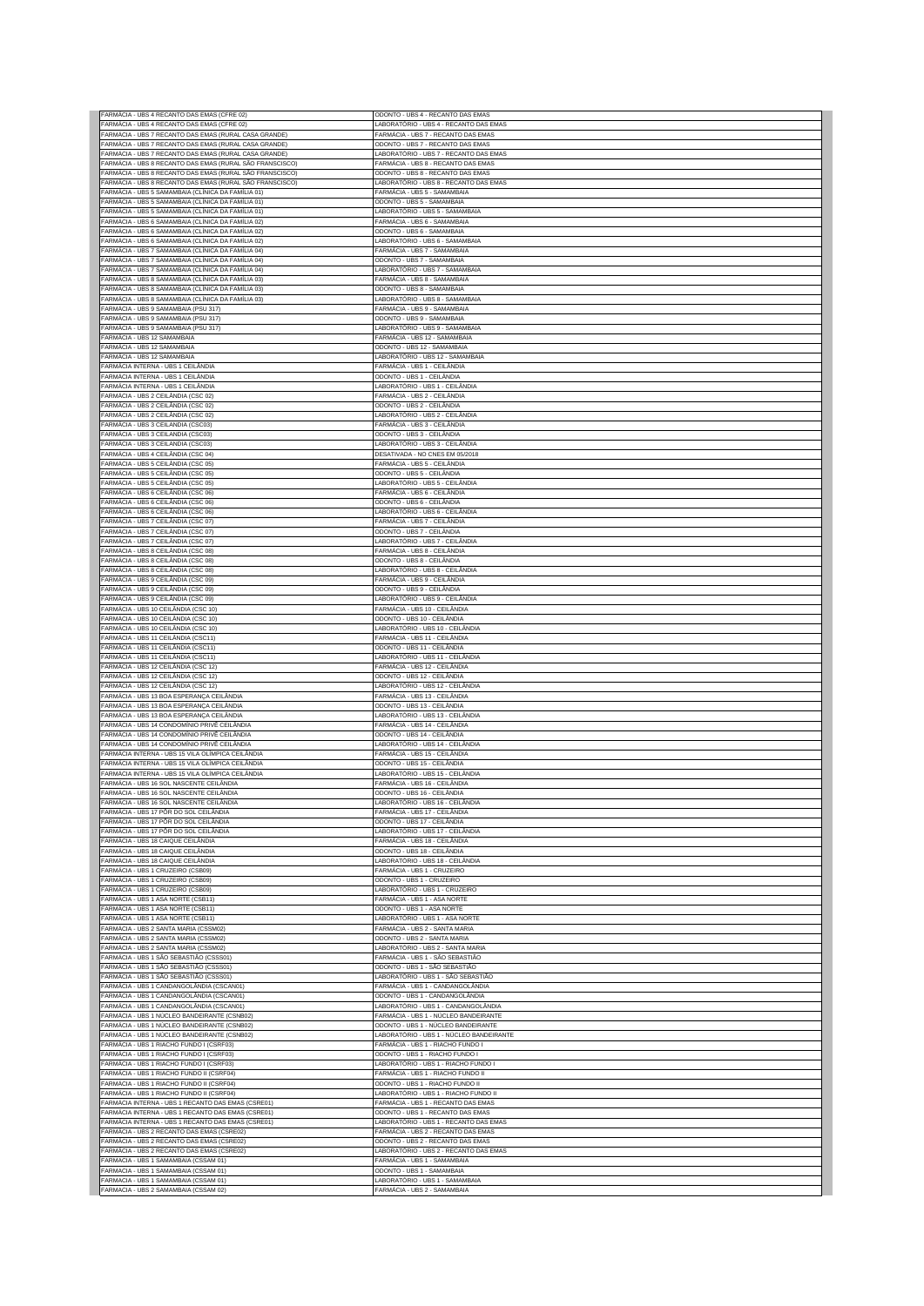| FARMÁCIA - UBS 4 RECANTO DAS EMAS (CFRE 02)<br>FARMÁCIA - UBS 4 RECANTO DAS EMAS (CFRE 02)                        | ODONTO - UBS 4 - RECANTO DAS EMAS<br>LABORATÓRIO - UBS 4 - RECANTO DAS EMAS     |
|-------------------------------------------------------------------------------------------------------------------|---------------------------------------------------------------------------------|
| FARMÁCIA - UBS 7 RECANTO DAS EMAS (RURAL CASA GRANDE)                                                             | FARMÁCIA - UBS 7 - RECANTO DAS EMAS                                             |
| FARMÁCIA - UBS 7 RECANTO DAS EMAS (RURAL CASA GRANDE)                                                             | ODONTO - UBS 7 - RECANTO DAS EMAS                                               |
| FARMÁCIA - UBS 7 RECANTO DAS EMAS (RURAL CASA GRANDE)<br>FARMÁCIA - UBS 8 RECANTO DAS EMAS (RURAL SÃO FRANSCISCO) | LABORATÓRIO - UBS 7 - RECANTO DAS EMAS<br>FARMÁCIA - UBS 8 - RECANTO DAS EMAS   |
| FARMÁCIA - UBS 8 RECANTO DAS EMAS (RURAL SÃO FRANSCISCO)                                                          | ODONTO - UBS 8 - RECANTO DAS EMAS                                               |
| FARMÁCIA - UBS 8 RECANTO DAS EMAS (RURAL SÃO FRANSCISCO)<br>FARMÁCIA - UBS 5 SAMAMBAIA (CLÍNICA DA FAMÍLIA 01)    | LABORATÓRIO - UBS 8 - RECANTO DAS EMAS<br>FARMÁCIA - UBS 5 - SAMAMBAIA          |
| FARMÁCIA - UBS 5 SAMAMBAIA (CLÍNICA DA FAMÍLIA 01)                                                                | ODONTO - UBS 5 - SAMAMBAIA                                                      |
| FARMÁCIA - UBS 5 SAMAMBAIA (CLÍNICA DA FAMÍLIA 01)<br>FARMÁCIA - UBS 6 SAMAMBAIA (CLÍNICA DA FAMÍLIA 02)          | LABORATÓRIO - UBS 5 - SAMAMBAIA<br>FARMÁCIA - UBS 6 - SAMAMBAIA                 |
| FARMÁCIA - UBS 6 SAMAMBAIA (CLÍNICA DA FAMÍLIA 02)                                                                | ODONTO - UBS 6 - SAMAMBAIA                                                      |
| FARMÁCIA - UBS 6 SAMAMBAIA (CLÍNICA DA FAMÍLIA 02)<br>FARMÁCIA - UBS 7 SAMAMBAIA (CLÍNICA DA FAMÍLIA 04)          | LABORATÓRIO - UBS 6 - SAMAMBAIA<br>FARMÁCIA - UBS 7 - SAMAMBAIA                 |
| FARMÁCIA - UBS 7 SAMAMBAIA (CLÍNICA DA FAMÍLIA 04)                                                                | ODONTO - UBS 7 - SAMAMBAIA                                                      |
| FARMÁCIA - UBS 7 SAMAMBAIA (CLÍNICA DA FAMÍLIA 04)                                                                | LABORATÓRIO - UBS 7 - SAMAMBAIA                                                 |
| FARMÁCIA - UBS 8 SAMAMBAIA (CLÍNICA DA FAMÍLIA 03)<br>FARMÁCIA - UBS 8 SAMAMBAIA (CLÍNICA DA FAMÍLIA 03)          | FARMÁCIA - UBS 8 - SAMAMBAIA<br>ODONTO - UBS 8 - SAMAMBAIA                      |
| FARMÁCIA - UBS 8 SAMAMBAIA (CLÍNICA DA FAMÍLIA 03)                                                                | LABORATÓRIO - UBS 8 - SAMAMBAIA                                                 |
| FARMÁCIA - UBS 9 SAMAMBAIA (PSU 317)<br>FARMÁCIA - UBS 9 SAMAMBAIA (PSU 317)                                      | FARMÁCIA - UBS 9 - SAMAMBAIA<br>ODONTO - UBS 9 - SAMAMBAIA                      |
| FARMÁCIA - UBS 9 SAMAMBAIA (PSU 317)                                                                              | LABORATÓRIO - UBS 9 - SAMAMBAIA                                                 |
| FARMÁCIA - UBS 12 SAMAMBAIA                                                                                       | FARMÁCIA - UBS 12 - SAMAMBAIA                                                   |
| FARMÁCIA - UBS 12 SAMAMBAIA<br>FARMÁCIA - UBS 12 SAMAMBAIA                                                        | ODONTO - UBS 12 - SAMAMBAIA<br>LABORATÓRIO - UBS 12 - SAMAMBAIA                 |
| FARMÁCIA INTERNA - UBS 1 CEILÂNDIA                                                                                | FARMÁCIA - UBS 1 - CEILÂNDIA                                                    |
| FARMÁCIA INTERNA - UBS 1 CEILÂNDIA<br>FARMÁCIA INTERNA - UBS 1 CEILÂNDIA                                          | ODONTO - UBS 1 - CEILÂNDIA<br>LABORATÓRIO - UBS 1 - CEILÂNDIA                   |
| FARMÁCIA - UBS 2 CEILÂNDIA (CSC 02)                                                                               | FARMÁCIA - UBS 2 - CEILÂNDIA                                                    |
| FARMÁCIA - UBS 2 CEILÂNDIA (CSC 02)<br>FARMÁCIA - UBS 2 CEILÂNDIA (CSC 02)                                        | ODONTO - UBS 2 - CEILÂNDIA<br>LABORATÓRIO - UBS 2 - CEILÂNDIA                   |
| FARMÁCIA - UBS 3 CEILANDIA (CSC03)                                                                                | FARMÁCIA - UBS 3 - CEILÂNDIA                                                    |
| FARMÁCIA - UBS 3 CEILANDIA (CSC03)                                                                                | ODONTO - UBS 3 - CEILÂNDIA                                                      |
| FARMÁCIA - UBS 3 CEILANDIA (CSC03)<br>FARMÁCIA - UBS 4 CEILÂNDIA (CSC 04)                                         | LABORATÓRIO - UBS 3 - CEILÂNDIA<br>DESATIVADA - NO CNES EM 05/2018              |
| FARMÁCIA - UBS 5 CEILÂNDIA (CSC 05)                                                                               | FARMÁCIA - UBS 5 - CEILÂNDIA                                                    |
| FARMÁCIA - UBS 5 CEILÂNDIA (CSC 05)<br>FARMÁCIA - UBS 5 CEILÂNDIA (CSC 05)                                        | ODONTO - UBS 5 - CEILÂNDIA<br>LABORATÓRIO - UBS 5 - CEILÂNDIA                   |
| FARMÁCIA - UBS 6 CEILÂNDIA (CSC 06)                                                                               | FARMÁCIA - UBS 6 - CEILÂNDIA                                                    |
| FARMÁCIA - UBS 6 CEILÂNDIA (CSC 06)                                                                               | ODONTO - UBS 6 - CEILÂNDIA                                                      |
| FARMÁCIA - UBS 6 CEILÂNDIA (CSC 06)<br>FARMÁCIA - UBS 7 CEILÂNDIA (CSC 07)                                        | LABORATÓRIO - UBS 6 - CEILÂNDIA<br>FARMÁCIA - UBS 7 - CEILÂNDIA                 |
| FARMÁCIA - UBS 7 CEILÂNDIA (CSC 07)                                                                               | ODONTO - UBS 7 - CEILÂNDIA                                                      |
| FARMÁCIA - UBS 7 CEILÂNDIA (CSC 07)                                                                               | LABORATÓRIO - UBS 7 - CEILÂNDIA                                                 |
| FARMÁCIA - UBS 8 CEILÂNDIA (CSC 08)<br>FARMÁCIA - UBS 8 CEILÂNDIA (CSC 08)                                        | FARMÁCIA - UBS 8 - CEILÂNDIA<br>ODONTO - UBS 8 - CEILÂNDIA                      |
| FARMÁCIA - UBS 8 CEILÂNDIA (CSC 08)                                                                               | LABORATÓRIO - UBS 8 - CEILÂNDIA                                                 |
| FARMÁCIA - UBS 9 CEILÂNDIA (CSC 09)<br>FARMÁCIA - UBS 9 CEILÂNDIA (CSC 09)                                        | FARMÁCIA - UBS 9 - CEILÂNDIA<br>ODONTO - UBS 9 - CEILÂNDIA                      |
| FARMÁCIA - UBS 9 CEILÂNDIA (CSC 09)                                                                               | LABORATÓRIO - UBS 9 - CEILÂNDIA                                                 |
| FARMÁCIA - UBS 10 CEILÂNDIA (CSC 10)                                                                              | FARMÁCIA - UBS 10 - CEILÂNDIA                                                   |
| FARMÁCIA - UBS 10 CEILÂNDIA (CSC 10)<br>FARMÁCIA - UBS 10 CEILÂNDIA (CSC 10)                                      | ODONTO - UBS 10 - CEILÂNDIA<br>LABORATÓRIO - UBS 10 - CEILÂNDIA                 |
| FARMÁCIA - UBS 11 CEILÂNDIA (CSC11)                                                                               | FARMÁCIA - UBS 11 - CEILÂNDIA                                                   |
| FARMÁCIA - UBS 11 CEILÂNDIA (CSC11)<br>FARMÁCIA - UBS 11 CEILÂNDIA (CSC11)                                        | ODONTO - UBS 11 - CEILÂNDIA<br>LABORATÓRIO - UBS 11 - CEILÂNDIA                 |
| FARMÁCIA - UBS 12 CEILÂNDIA (CSC 12)                                                                              | FARMÁCIA - UBS 12 - CEILÂNDIA                                                   |
| FARMÁCIA - UBS 12 CEILÂNDIA (CSC 12)                                                                              | ODONTO - UBS 12 - CEILÂNDIA                                                     |
| FARMÁCIA - UBS 12 CEILÂNDIA (CSC 12)<br>FARMÁCIA - UBS 13 BOA ESPERANÇA CEILÂNDIA                                 | LABORATÓRIO - UBS 12 - CEILÂNDIA<br>FARMÁCIA - UBS 13 - CEILÂNDIA               |
| FARMÁCIA - UBS 13 BOA ESPERANÇA CEILÂNDIA                                                                         | ODONTO - UBS 13 - CEILÂNDIA                                                     |
| FARMÁCIA - UBS 13 BOA ESPERANÇA CEILÂNDIA<br>FARMÁCIA - UBS 14 CONDOMÍNIO PRIVÊ CEILÂNDIA                         | LABORATÓRIO - UBS 13 - CEILÂNDIA<br>FARMÁCIA - UBS 14 - CEILÂNDIA               |
| FARMÁCIA - UBS 14 CONDOMÍNIO PRIVÊ CEILÂNDIA                                                                      | ODONTO - UBS 14 - CEILÂNDIA                                                     |
| FARMÁCIA - UBS 14 CONDOMÍNIO PRIVÊ CEILÂNDIA<br>FARMÁCIA INTERNA - UBS 15 VILA OLÍMPICA CEILÂNDIA                 | LABORATÓRIO - UBS 14 - CEILÂNDIA<br>FARMÁCIA - UBS 15 - CEILÂNDIA               |
| FARMÁCIA INTERNA - UBS 15 VILA OLÍMPICA CEILÂNDIA                                                                 | ODONTO - UBS 15 - CEILÂNDIA                                                     |
| FARMÁCIA INTERNA - UBS 15 VILA OLÍMPICA CEILÂNDIA                                                                 | LABORATÓRIO - UBS 15 - CEILÂNDIA                                                |
| FARMÁCIA - UBS 16 SOL NASCENTE CEILÂNDIA<br>FARMÁCIA - UBS 16 SOL NASCENTE CEILÂNDIA                              | FARMÁCIA - UBS 16 - CEILÂNDIA<br>ODONTO - UBS 16 - CEILÂNDIA                    |
| FARMÁCIA - UBS 16 SOL NASCENTE CEILÂNDIA                                                                          | LABORATÓRIO - UBS 16 - CEILÂNDIA                                                |
| FARMÁCIA - UBS 17 PÔR DO SOL CEILÂNDIA                                                                            | FARMÁCIA - UBS 17 - CEILÂNDIA                                                   |
| FARMÁCIA - UBS 17 PÔR DO SOL CEILÂNDIA<br>FARMÁCIA - UBS 17 PÔR DO SOL CEILÂNDIA                                  | ODONTO - UBS 17 - CEILÂNDIA<br>LABORATÓRIO - UBS 17 - CEILÂNDIA                 |
| FARMÁCIA - UBS 18 CAIQUE CEILÂNDIA                                                                                | FARMÁCIA - UBS 18 - CEILÂNDIA                                                   |
| FARMÁCIA - UBS 18 CAIQUE CEILÂNDIA<br>FARMÁCIA - UBS 18 CAIQUE CEILÂNDIA                                          | ODONTO - UBS 18 - CEILÂNDIA<br>LABORATÓRIO - UBS 18 - CEILÂNDIA                 |
| FARMÁCIA - UBS 1 CRUZEIRO (CSB09)                                                                                 | FARMÁCIA - UBS 1 - CRUZEIRO                                                     |
| FARMÁCIA - UBS 1 CRUZEIRO (CSB09)                                                                                 | ODONTO - UBS 1 - CRUZEIRO                                                       |
| FARMÁCIA - UBS 1 CRUZEIRO (CSB09)<br>FARMÁCIA - UBS 1 ASA NORTE (CSB11)                                           | LABORATÓRIO - UBS 1 - CRUZEIRO<br>FARMÁCIA - UBS 1 - ASA NORTE                  |
| FARMÁCIA - UBS 1 ASA NORTE (CSB11)                                                                                | ODONTO - UBS 1 - ASA NORTE                                                      |
| FARMÁCIA - UBS 1 ASA NORTE (CSB11)<br>FARMÁCIA - UBS 2 SANTA MARIA (CSSM02)                                       | LABORATÓRIO - UBS 1 - ASA NORTE<br>FARMÁCIA - UBS 2 - SANTA MARIA               |
| FARMÁCIA - UBS 2 SANTA MARIA (CSSM02)                                                                             | ODONTO - UBS 2 - SANTA MARIA                                                    |
| FARMÁCIA - UBS 2 SANTA MARIA (CSSM02)                                                                             | LABORATÓRIO - UBS 2 - SANTA MARIA                                               |
| FARMÁCIA - UBS 1 SÃO SEBASTIÃO (CSSS01)<br>FARMÁCIA - UBS 1 SÃO SEBASTIÃO (CSSS01)                                | FARMÁCIA - UBS 1 - SÃO SEBASTIÃO<br>ODONTO - UBS 1 - SÃO SEBASTIÃO              |
| FARMÁCIA - UBS 1 SÃO SEBASTIÃO (CSSS01)                                                                           | LABORATÓRIO - UBS 1 - SÃO SEBASTIÃO                                             |
| FARMÁCIA - UBS 1 CANDANGOLÂNDIA (CSCAN01)<br>FARMÁCIA - UBS 1 CANDANGOLÂNDIA (CSCAN01)                            | FARMÁCIA - UBS 1 - CANDANGOLÂNDIA<br>ODONTO - UBS 1 - CANDANGOLÂNDIA            |
| FARMÁCIA - UBS 1 CANDANGOLÂNDIA (CSCAN01)                                                                         | LABORATÓRIO - UBS 1 - CANDANGOLÂNDIA                                            |
| FARMÁCIA - UBS 1 NÚCLEO BANDEIRANTE (CSNB02)                                                                      | FARMÁCIA - UBS 1 - NÚCLEO BANDEIRANTE                                           |
| FARMÁCIA - UBS 1 NÚCLEO BANDEIRANTE (CSNB02)<br>FARMÁCIA - UBS 1 NÚCLEO BANDEIRANTE (CSNB02)                      | ODONTO - UBS 1 - NÚCLEO BANDEIRANTE<br>LABORATÓRIO - UBS 1 - NÚCLEO BANDEIRANTE |
| FARMÁCIA - UBS 1 RIACHO FUNDO I (CSRF03)                                                                          | FARMÁCIA - UBS 1 - RIACHO FUNDO I                                               |
| FARMÁCIA - UBS 1 RIACHO FUNDO I (CSRF03)<br>FARMÁCIA - UBS 1 RIACHO FUNDO I (CSRF03)                              | ODONTO - UBS 1 - RIACHO FUNDO I<br>LABORATÓRIO - UBS 1 - RIACHO FUNDO I         |
| FARMÁCIA - UBS 1 RIACHO FUNDO II (CSRF04)                                                                         | FARMÁCIA - UBS 1 - RIACHO FUNDO II                                              |
| FARMÁCIA - UBS 1 RIACHO FUNDO II (CSRF04)                                                                         | ODONTO - UBS 1 - RIACHO FUNDO II                                                |
| FARMÁCIA - UBS 1 RIACHO FUNDO II (CSRF04)<br>FARMÁCIA INTERNA - UBS 1 RECANTO DAS EMAS (CSRE01)                   | LABORATÓRIO - UBS 1 - RIACHO FUNDO II<br>FARMÁCIA - UBS 1 - RECANTO DAS EMAS    |
| FARMÁCIA INTERNA - UBS 1 RECANTO DAS EMAS (CSRE01)                                                                | ODONTO - UBS 1 - RECANTO DAS EMAS                                               |
| FARMÁCIA INTERNA - UBS 1 RECANTO DAS EMAS (CSRE01)                                                                | LABORATÓRIO - UBS 1 - RECANTO DAS EMAS                                          |
| FARMÁCIA - UBS 2 RECANTO DAS EMAS (CSRE02)<br>FARMÁCIA - UBS 2 RECANTO DAS EMAS (CSRE02)                          | FARMÁCIA - UBS 2 - RECANTO DAS EMAS<br>ODONTO - UBS 2 - RECANTO DAS EMAS        |
| FARMÁCIA - UBS 2 RECANTO DAS EMAS (CSRE02)                                                                        | LABORATÓRIO - UBS 2 - RECANTO DAS EMAS                                          |
| FARMACIA - UBS 1 SAMAMBAIA (CSSAM 01)<br>FARMACIA - UBS 1 SAMAMBAIA (CSSAM 01)                                    | FARMÁCIA - UBS 1 - SAMAMBAIA<br>ODONTO - UBS 1 - SAMAMBAIA                      |
| FARMACIA - UBS 1 SAMAMBAIA (CSSAM 01)                                                                             | LABORATÓRIO - UBS 1 - SAMAMBAIA                                                 |
| FARMACIA - UBS 2 SAMAMBAIA (CSSAM 02)                                                                             | FARMÁCIA - UBS 2 - SAMAMBAIA                                                    |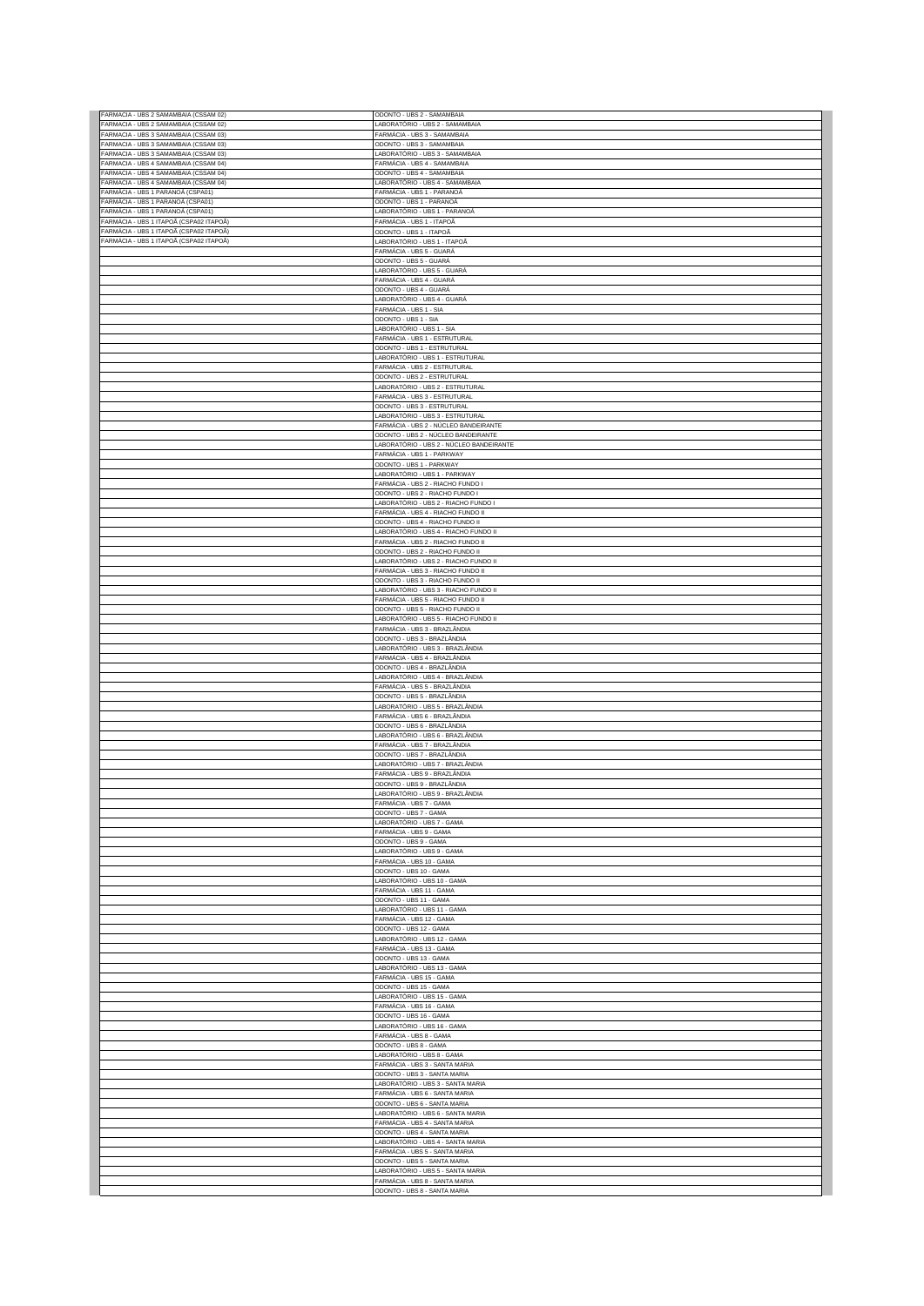| FARMACIA - UBS 2 SAMAMBAIA (CSSAM 02)<br>FARMACIA - UBS 3 SAMAMBAIA (CSSAM 03) | ODONTO - UBS 2 - SAMAMBAIA                                                      |
|--------------------------------------------------------------------------------|---------------------------------------------------------------------------------|
|                                                                                | LABORATÓRIO - UBS 2 - SAMAMBAIA<br>FARMÁCIA - UBS 3 - SAMAMBAIA                 |
| FARMACIA - UBS 3 SAMAMBAIA (CSSAM 03)                                          | ODONTO - UBS 3 - SAMAMBAIA                                                      |
| FARMACIA - UBS 3 SAMAMBAIA (CSSAM 03)                                          | LABORATÓRIO - UBS 3 - SAMAMBAIA                                                 |
| FARMACIA - UBS 4 SAMAMBAIA (CSSAM 04)<br>FARMACIA - UBS 4 SAMAMBAIA (CSSAM 04) | FARMÁCIA - UBS 4 - SAMAMBAIA<br>ODONTO - UBS 4 - SAMAMBAIA                      |
| FARMACIA - UBS 4 SAMAMBAIA (CSSAM 04)                                          | LABORATÓRIO - UBS 4 - SAMAMBAIA                                                 |
| ARMÁCIA - UBS 1 PARANOÁ (CSPA01)                                               | FARMÁCIA - UBS 1 - PARANOÁ                                                      |
| ARMÁCIA - UBS 1 PARANOÁ (CSPA01)<br>ARMÁCIA - UBS 1 PARANOÁ (CSPA01)           | ODONTO - UBS 1 - PARANOÁ<br>LABORATÓRIO - UBS 1 - PARANOÁ                       |
| -<br>ARMÁCIA - UBS 1 ITAPOÃ (CSPA02 ITAPOÃ)                                    | FARMÁCIA - UBS 1 - ITAPOÃ                                                       |
| -ARMÁCIA - UBS 1 ITAPOÃ (CSPA02 ITAPOÃ)                                        | ODONTO - UBS 1 - ITAPOÃ                                                         |
| FARMÁCIA - UBS 1 ITAPOÃ (CSPA02 ITAPOÃ)                                        | LABORATÓRIO - UBS 1 - ITAPOÃ                                                    |
|                                                                                | FARMÁCIA - UBS 5 - GUARÁ                                                        |
|                                                                                | ODONTO - UBS 5 - GUARÁ<br>LABORATÓRIO - UBS 5 - GUARÁ                           |
|                                                                                | FARMÁCIA - UBS 4 - GUARÁ                                                        |
|                                                                                | ODONTO - UBS 4 - GUARÁ                                                          |
|                                                                                | LABORATÓRIO - UBS 4 - GUARÁ<br>FARMÁCIA - UBS 1 - SIA                           |
|                                                                                | ODONTO - UBS 1 - SIA                                                            |
|                                                                                | LABORATÓRIO - UBS 1 - SIA                                                       |
|                                                                                | FARMÁCIA - UBS 1 - ESTRUTURAL                                                   |
|                                                                                | ODONTO - UBS 1 - ESTRUTURAL<br>LABORATÓRIO - UBS 1 - ESTRUTURAL                 |
|                                                                                | FARMÁCIA - UBS 2 - ESTRUTURAL                                                   |
|                                                                                | ODONTO - UBS 2 - ESTRUTURAL                                                     |
|                                                                                | LABORATÓRIO - UBS 2 - ESTRUTURAL                                                |
|                                                                                | FARMÁCIA - UBS 3 - ESTRUTURAL<br>ODONTO - UBS 3 - ESTRUTURAL                    |
|                                                                                | LABORATÓRIO - UBS 3 - ESTRUTURAL                                                |
|                                                                                | FARMÁCIA - UBS 2 - NÚCLEO BANDEIRANTE                                           |
|                                                                                | ODONTO - UBS 2 - NÚCLEO BANDEIRANTE<br>LABORATÓRIO - UBS 2 - NÚCLEO BANDEIRANTE |
|                                                                                | FARMÁCIA - UBS 1 - PARKWAY                                                      |
|                                                                                | ODONTO - UBS 1 - PARKWAY                                                        |
|                                                                                | LABORATÓRIO - UBS 1 - PARKWAY                                                   |
|                                                                                | FARMÁCIA - UBS 2 - RIACHO FUNDO I<br>ODONTO - UBS 2 - RIACHO FUNDO I            |
|                                                                                | LABORATÓRIO - UBS 2 - RIACHO FUNDO I                                            |
|                                                                                | FARMÁCIA - UBS 4 - RIACHO FUNDO II                                              |
|                                                                                | ODONTO - UBS 4 - RIACHO FUNDO II<br>LABORATÓRIO - UBS 4 - RIACHO FUNDO II       |
|                                                                                | FARMÁCIA - UBS 2 - RIACHO FUNDO II                                              |
|                                                                                | ODONTO - UBS 2 - RIACHO FUNDO II                                                |
|                                                                                | LABORATÓRIO - UBS 2 - RIACHO FUNDO II                                           |
|                                                                                | FARMÁCIA - UBS 3 - RIACHO FUNDO II<br>ODONTO - UBS 3 - RIACHO FUNDO II          |
|                                                                                | LABORATÓRIO - UBS 3 - RIACHO FUNDO II                                           |
|                                                                                | FARMÁCIA - UBS 5 - RIACHO FUNDO II                                              |
|                                                                                | ODONTO - UBS 5 - RIACHO FUNDO II                                                |
|                                                                                | LABORATÓRIO - UBS 5 - RIACHO FUNDO II<br>FARMÁCIA - UBS 3 - BRAZLÂNDIA          |
|                                                                                | ODONTO - UBS 3 - BRAZLÂNDIA                                                     |
|                                                                                | LABORATÓRIO - UBS 3 - BRAZLÂNDIA                                                |
|                                                                                | FARMÁCIA - UBS 4 - BRAZLÂNDIA<br>ODONTO - UBS 4 - BRAZLÂNDIA                    |
|                                                                                | LABORATÓRIO - UBS 4 - BRAZLÂNDIA                                                |
|                                                                                | FARMÁCIA - UBS 5 - BRAZLÂNDIA                                                   |
|                                                                                | ODONTO - UBS 5 - BRAZLÂNDIA<br>LABORATÓRIO - UBS 5 - BRAZLÂNDIA                 |
|                                                                                | FARMÁCIA - UBS 6 - BRAZLÂNDIA                                                   |
|                                                                                | ODONTO - UBS 6 - BRAZLÂNDIA                                                     |
|                                                                                |                                                                                 |
|                                                                                | LABORATÓRIO - UBS 6 - BRAZLÂNDIA                                                |
|                                                                                | FARMÁCIA - UBS 7 - BRAZLÂNDIA                                                   |
|                                                                                | ODONTO - UBS 7 - BRAZLÂNDIA<br>LABORATÓRIO - UBS 7 - BRAZLÂNDIA                 |
|                                                                                | FARMÁCIA - UBS 9 - BRAZLÂNDIA                                                   |
|                                                                                | ODONTO - UBS 9 - BRAZLÂNDIA                                                     |
|                                                                                | LABORATÓRIO - UBS 9 - BRAZLÂNDIA<br>FARMÁCIA - UBS 7 - GAMA                     |
|                                                                                | ODONTO - UBS 7 - GAMA                                                           |
|                                                                                | LABORATÓRIO - UBS 7 - GAMA                                                      |
|                                                                                | FARMÁCIA - UBS 9 - GAMA<br>ODONTO - UBS 9 - GAMA                                |
|                                                                                | LABORATÓRIO - UBS 9 - GAMA                                                      |
|                                                                                | FARMÁCIA - UBS 10 - GAMA                                                        |
|                                                                                | ODONTO - UBS 10 - GAMA<br>LABORATÓRIO - UBS 10 - GAMA                           |
|                                                                                | FARMÁCIA - UBS 11 - GAMA                                                        |
|                                                                                | ODONTO - UBS 11 - GAMA                                                          |
|                                                                                | LABORATÓRIO - UBS 11 - GAMA                                                     |
|                                                                                | FARMÁCIA - UBS 12 - GAMA<br>ODONTO - UBS 12 - GAMA                              |
|                                                                                | LABORATÓRIO - UBS 12 - GAMA                                                     |
|                                                                                | FARMÁCIA - UBS 13 - GAMA<br>ODONTO - UBS 13 - GAMA                              |
|                                                                                | LABORATÓRIO - UBS 13 - GAMA                                                     |
|                                                                                | FARMÁCIA - UBS 15 - GAMA                                                        |
|                                                                                | ODONTO - UBS 15 - GAMA                                                          |
|                                                                                | LABORATÓRIO - UBS 15 - GAMA<br>FARMÁCIA - UBS 16 - GAMA                         |
|                                                                                | ODONTO - UBS 16 - GAMA                                                          |
|                                                                                | LABORATÓRIO - UBS 16 - GAMA                                                     |
|                                                                                | FARMÁCIA - UBS 8 - GAMA<br>ODONTO - UBS 8 - GAMA                                |
|                                                                                | LABORATÓRIO - UBS 8 - GAMA                                                      |
|                                                                                | FARMÁCIA - UBS 3 - SANTA MARIA                                                  |
|                                                                                | ODONTO - UBS 3 - SANTA MARIA<br>LABORATÓRIO - UBS 3 - SANTA MARIA               |
|                                                                                | FARMÁCIA - UBS 6 - SANTA MARIA                                                  |
|                                                                                | ODONTO - UBS 6 - SANTA MARIA                                                    |
|                                                                                | LABORATÓRIO - UBS 6 - SANTA MARIA                                               |
|                                                                                | FARMÁCIA - UBS 4 - SANTA MARIA<br>ODONTO - UBS 4 - SANTA MARIA                  |
|                                                                                | LABORATÓRIO - UBS 4 - SANTA MARIA                                               |
|                                                                                | FARMÁCIA - UBS 5 - SANTA MARIA                                                  |
|                                                                                | ODONTO - UBS 5 - SANTA MARIA<br>LABORATÓRIO - UBS 5 - SANTA MARIA               |
|                                                                                | FARMÁCIA - UBS 8 - SANTA MARIA<br>ODONTO - UBS 8 - SANTA MARIA                  |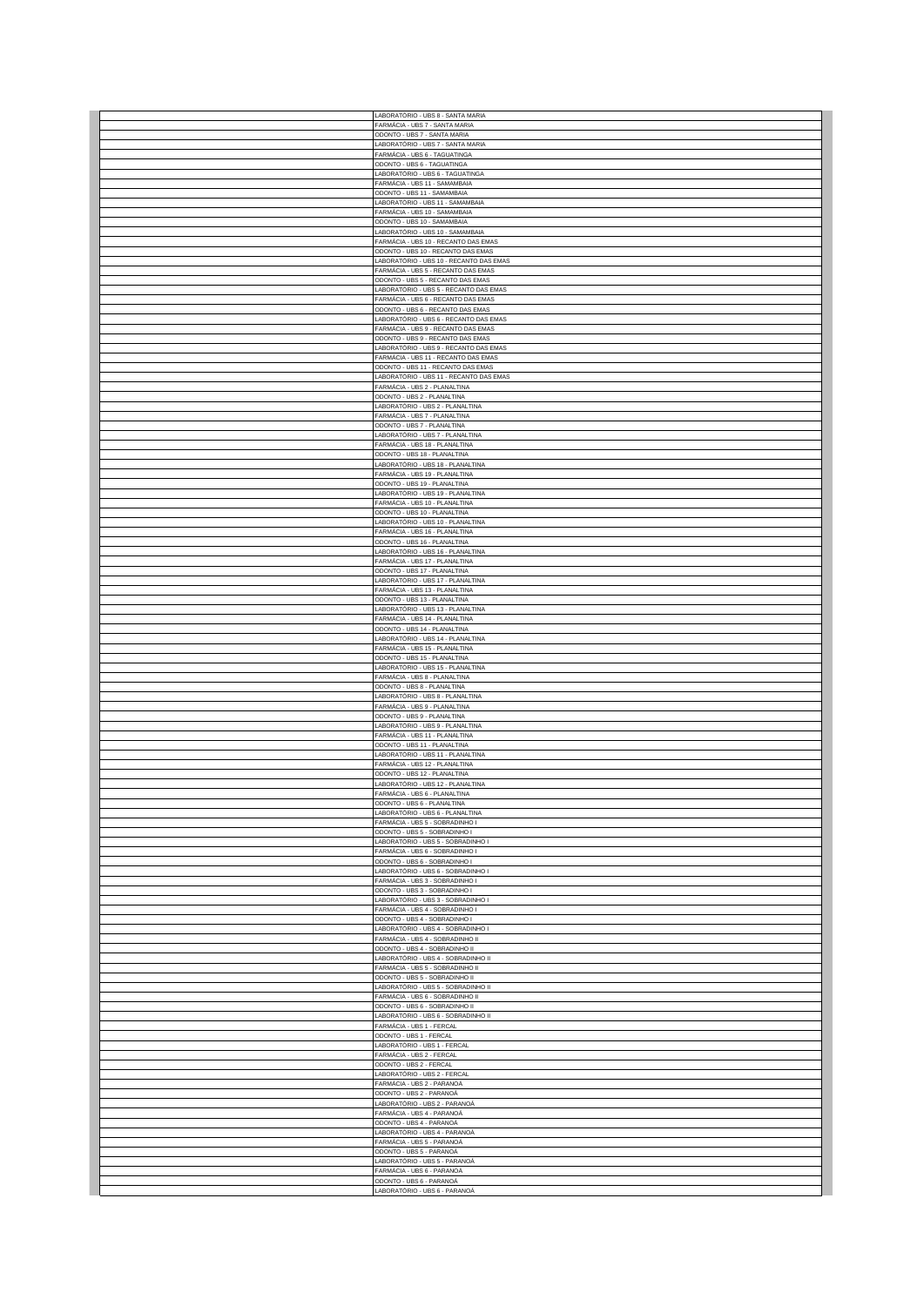| LABORATÓRIO - UBS 8 - SANTA MARIA                                              |
|--------------------------------------------------------------------------------|
| FARMÁCIA - UBS 7 - SANTA MARIA                                                 |
| ODONTO - UBS 7 - SANTA MARIA<br>ABORATÓRIO - UBS 7 - SANTA MARIA               |
| FARMÁCIA - UBS 6 - TAGUATINGA                                                  |
| ODONTO - UBS 6 - TAGUATINGA                                                    |
| ABORATÓRIO - UBS 6 - TAGUATINGA<br>FARMÁCIA - UBS 11 - SAMAMBAIA               |
| ODONTO - UBS 11 - SAMAMBAIA                                                    |
| ABORATÓRIO - UBS 11 - SAMAMBAIA                                                |
| FARMÁCIA - UBS 10 - SAMAMBAIA<br>ODONTO - UBS 10 - SAMAMBAIA                   |
| LABORATÓRIO - UBS 10 - SAMAMBAIA                                               |
| FARMÁCIA - UBS 10 - RECANTO DAS EMAS                                           |
| ODONTO - UBS 10 - RECANTO DAS EMAS                                             |
| ABORATÓRIO - UBS 10 - RECANTO DAS EMAS<br>FARMÁCIA - UBS 5 - RECANTO DAS EMAS  |
| ODONTO - UBS 5 - RECANTO DAS EMAS                                              |
| ABORATÓRIO - UBS 5 - RECANTO DAS EMAS                                          |
| FARMÁCIA - UBS 6 - RECANTO DAS EMAS                                            |
| ODONTO - UBS 6 - RECANTO DAS EMAS<br>LABORATÓRIO - UBS 6 - RECANTO DAS EMAS    |
| FARMÁCIA - UBS 9 - RECANTO DAS EMAS                                            |
| ODONTO - UBS 9 - RECANTO DAS EMAS                                              |
| LABORATÓRIO - UBS 9 - RECANTO DAS EMAS<br>FARMÁCIA - UBS 11 - RECANTO DAS EMAS |
| ODONTO - UBS 11 - RECANTO DAS EMAS                                             |
| LABORATÓRIO - UBS 11 - RECANTO DAS EMAS                                        |
| FARMÁCIA - UBS 2 - PLANALTINA                                                  |
| ODONTO - UBS 2 - PLANALTINA                                                    |
| .ABORATÓRIO - UBS 2 - PLANALTINA<br>ARMÁCIA - UBS 7 - PLANALTINA               |
| ODONTO - UBS 7 - PLANALTINA                                                    |
| LABORATÓRIO - UBS 7 - PLANALTINA                                               |
| FARMÁCIA - UBS 18 - PLANALTINA                                                 |
| ODONTO - UBS 18 - PLANALTINA<br>LABORATÓRIO - UBS 18 - PLANALTINA              |
| FARMÁCIA - UBS 19 - PLANALTINA                                                 |
| ODONTO - UBS 19 - PLANALTINA                                                   |
| LABORATÓRIO - UBS 19 - PLANALTINA<br>FARMÁCIA - UBS 10 - PLANALTINA            |
| ODONTO - UBS 10 - PLANALTINA                                                   |
| LABORATÓRIO - UBS 10 - PLANALTINA                                              |
| FARMÁCIA - UBS 16 - PLANALTINA                                                 |
| ODONTO - UBS 16 - PLANALTINA<br>ABORATÓRIO - UBS 16 - PLANALTINA               |
| FARMÁCIA - UBS 17 - PLANALTINA                                                 |
| ODONTO - UBS 17 - PLANALTINA                                                   |
| LABORATÓRIO - UBS 17 - PLANALTINA                                              |
| FARMÁCIA - UBS 13 - PLANALTINA<br>ODONTO - UBS 13 - PLANALTINA                 |
| LABORATÓRIO - UBS 13 - PLANALTINA                                              |
| FARMÁCIA - UBS 14 - PLANALTINA                                                 |
| ODONTO - UBS 14 - PLANALTINA                                                   |
| LABORATÓRIO - UBS 14 - PLANALTINA<br>FARMÁCIA - UBS 15 - PLANALTINA            |
|                                                                                |
|                                                                                |
| ODONTO - UBS 15 - PLANALTINA<br>LABORATÓRIO - UBS 15 - PLANALTINA              |
| FARMÁCIA - UBS 8 - PLANALTINA                                                  |
| ODONTO - UBS 8 - PLANALTINA                                                    |
| LABORATÓRIO - UBS 8 - PLANALTINA<br>FARMÁCIA - UBS 9 - PLANALTINA              |
| ODONTO - UBS 9 - PLANALTINA                                                    |
| LABORATÓRIO - UBS 9 - PLANALTINA                                               |
| FARMÁCIA - UBS 11 - PLANALTINA                                                 |
| ODONTO - UBS 11 - PLANALTINA<br>ABORATÓRIO - UBS 11 - PLANALTINA               |
| FARMÁCIA - UBS 12 - PLANALTINA                                                 |
| ODONTO - UBS 12 - PLANALTINA                                                   |
| LABORATÓRIO - UBS 12 - PLANALTINA<br>FARMÁCIA - UBS 6 - PLANALTINA             |
| ODONTO - UBS 6 - PLANALTINA                                                    |
| LABORATÓRIO - UBS 6 - PLANALTINA                                               |
| FARMÁCIA - UBS 5 - SOBRADINHO I                                                |
| ODONTO - UBS 5 - SOBRADINHO I<br>LABORATÓRIO - UBS 5 - SOBRADINHO I            |
| FARMÁCIA - UBS 6 - SOBRADINHO I                                                |
| ODONTO - UBS 6 - SOBRADINHO I                                                  |
| LABORATÓRIO - UBS 6 - SOBRADINHO I                                             |
| FARMÁCIA - UBS 3 - SOBRADINHO I<br>ODONTO - UBS 3 - SOBRADINHO I               |
| ABORATÓRIO - UBS 3 - SOBRADINHO I                                              |
| FARMÁCIA - UBS 4 - SOBRADINHO I                                                |
| ODONTO - UBS 4 - SOBRADINHO I                                                  |
| LABORATÓRIO - UBS 4 - SOBRADINHO I<br>FARMÁCIA - UBS 4 - SOBRADINHO II         |
| ODONTO - UBS 4 - SOBRADINHO II                                                 |
| LABORATÓRIO - UBS 4 - SOBRADINHO II                                            |
| FARMÁCIA - UBS 5 - SOBRADINHO II<br>ODONTO - UBS 5 - SOBRADINHO II             |
| LABORATÓRIO - UBS 5 - SOBRADINHO II                                            |
| FARMÁCIA - UBS 6 - SOBRADINHO II                                               |
| ODONTO - UBS 6 - SOBRADINHO II                                                 |
| ABORATÓRIO - UBS 6 - SOBRADINHO II<br>FARMÁCIA - UBS 1 - FERCAL                |
| ODONTO - UBS 1 - FERCAL                                                        |
| ABORATÓRIO - UBS 1 - FERCAL                                                    |
| FARMÁCIA - UBS 2 - FERCAL                                                      |
| ODONTO - UBS 2 - FERCAL<br>LABORATÓRIO - UBS 2 - FERCAL                        |
| FARMÁCIA - UBS 2 - PARANOÁ                                                     |
| ODONTO - UBS 2 - PARANOÁ                                                       |
| ABORATÓRIO - UBS 2 - PARANOÁ                                                   |
| FARMÁCIA - UBS 4 - PARANOÁ<br>ODONTO - UBS 4 - PARANOÁ                         |
| ABORATÓRIO - UBS 4 - PARANOÁ                                                   |
| FARMÁCIA - UBS 5 - PARANOÁ                                                     |
| ODONTO - UBS 5 - PARANOÁ                                                       |
| ABORATÓRIO - UBS 5 - PARANOÁ<br>FARMÁCIA - UBS 6 - PARANOÁ                     |
| ODONTO - UBS 6 - PARANOÁ<br>LABORATÓRIO - UBS 6 - PARANOÁ                      |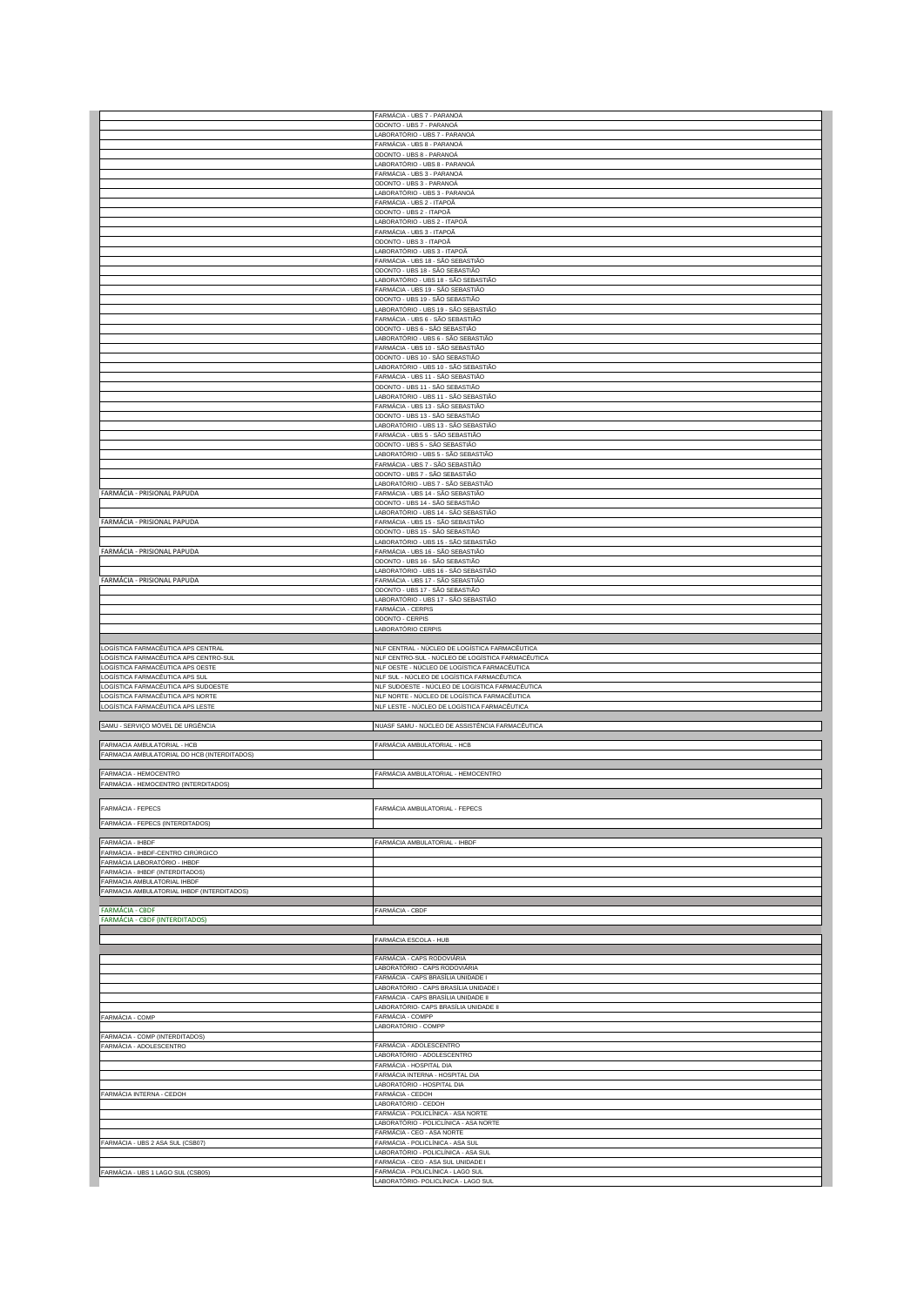|                                                                             | FARMÁCIA - UBS 7 - PARANOÁ<br>ODONTO - UBS 7 - PARANOÁ                                              |
|-----------------------------------------------------------------------------|-----------------------------------------------------------------------------------------------------|
|                                                                             | LABORATÓRIO - UBS 7 - PARANOÁ                                                                       |
|                                                                             | FARMÁCIA - UBS 8 - PARANOÁ                                                                          |
|                                                                             | ODONTO - UBS 8 - PARANOÁ<br>LABORATÓRIO - UBS 8 - PARANOÁ                                           |
|                                                                             | FARMÁCIA - UBS 3 - PARANOÁ                                                                          |
|                                                                             | ODONTO - UBS 3 - PARANOÁ<br>LABORATÓRIO - UBS 3 - PARANOÁ                                           |
|                                                                             | FARMÁCIA - UBS 2 - ITAPOÃ                                                                           |
|                                                                             | ODONTO - UBS 2 - ITAPOÃ<br>LABORATÓRIO - UBS 2 - ITAPOÃ                                             |
|                                                                             | FARMÁCIA - UBS 3 - ITAPOÃ                                                                           |
|                                                                             | ODONTO - UBS 3 - ITAPOÃ<br>LABORATÓRIO - UBS 3 - ITAPOÃ                                             |
|                                                                             | FARMÁCIA - UBS 18 - SÃO SEBASTIÃO                                                                   |
|                                                                             | ODONTO - UBS 18 - SÃO SEBASTIÃO                                                                     |
|                                                                             | LABORATÓRIO - UBS 18 - SÃO SEBASTIÃO<br>FARMÁCIA - UBS 19 - SÃO SEBASTIÃO                           |
|                                                                             | ODONTO - UBS 19 - SÃO SEBASTIÃO                                                                     |
|                                                                             | LABORATÓRIO - UBS 19 - SÃO SEBASTIÃO<br>FARMÁCIA - UBS 6 - SÃO SEBASTIÃO                            |
|                                                                             | ODONTO - UBS 6 - SÃO SEBASTIÃO                                                                      |
|                                                                             | LABORATÓRIO - UBS 6 - SÃO SEBASTIÃO<br>FARMÁCIA - UBS 10 - SÃO SEBASTIÃO                            |
|                                                                             | ODONTO - UBS 10 - SÃO SEBASTIÃO                                                                     |
|                                                                             | LABORATÓRIO - UBS 10 - SÃO SEBASTIÃO                                                                |
|                                                                             | FARMÁCIA - UBS 11 - SÃO SEBASTIÃO<br>ODONTO - UBS 11 - SÃO SEBASTIÃO                                |
|                                                                             | LABORATÓRIO - UBS 11 - SÃO SEBASTIÃO                                                                |
|                                                                             | FARMÁCIA - UBS 13 - SÃO SEBASTIÃO<br>ODONTO - UBS 13 - SÃO SEBASTIÃO                                |
|                                                                             | LABORATÓRIO - UBS 13 - SÃO SEBASTIÃO                                                                |
|                                                                             | FARMÁCIA - UBS 5 - SÃO SEBASTIÃO                                                                    |
|                                                                             | ODONTO - UBS 5 - SÃO SEBASTIÃO<br>LABORATÓRIO - UBS 5 - SÃO SEBASTIÃO                               |
|                                                                             | FARMÁCIA - UBS 7 - SÃO SEBASTIÃO                                                                    |
|                                                                             | ODONTO - UBS 7 - SÃO SEBASTIÃO<br>LABORATÓRIO - UBS 7 - SÃO SEBASTIÃO                               |
| FARMÁCIA - PRISIONAL PAPUDA                                                 | FARMÁCIA - UBS 14 - SÃO SEBASTIÃO                                                                   |
|                                                                             | ODONTO - UBS 14 - SÃO SEBASTIÃO<br>LABORATÓRIO - UBS 14 - SÃO SEBASTIÃO                             |
| FARMÁCIA - PRISIONAL PAPUDA                                                 | FARMÁCIA - UBS 15 - SÃO SEBASTIÃO                                                                   |
|                                                                             | ODONTO - UBS 15 - SÃO SEBASTIÃO                                                                     |
| FARMÁCIA - PRISIONAL PAPUDA                                                 | LABORATÓRIO - UBS 15 - SÃO SEBASTIÃO<br>FARMÁCIA - UBS 16 - SÃO SEBASTIÃO                           |
|                                                                             | ODONTO - UBS 16 - SÃO SEBASTIÃO                                                                     |
| FARMÁCIA - PRISIONAL PAPUDA                                                 | LABORATÓRIO - UBS 16 - SÃO SEBASTIÃO<br>FARMÁCIA - UBS 17 - SÃO SEBASTIÃO                           |
|                                                                             | ODONTO - UBS 17 - SÃO SEBASTIÃO                                                                     |
|                                                                             | LABORATÓRIO - UBS 17 - SÃO SEBASTIÃO                                                                |
|                                                                             | FARMÁCIA - CERPIS<br>ODONTO - CERPIS                                                                |
|                                                                             | LABORATÓRIO CERPIS                                                                                  |
|                                                                             |                                                                                                     |
|                                                                             |                                                                                                     |
| LOGÍSTICA FARMACÊUTICA APS CENTRAL<br>LOGÍSTICA FARMACÊUTICA APS CENTRO-SUL | NLF CENTRAL - NÚCLEO DE LOGÍSTICA FARMACÊUTICA<br>NLF CENTRO-SUL - NÚCLEO DE LOGÍSTICA FARMACÊUTICA |
| LOGÍSTICA FARMACÊUTICA APS OESTE                                            | NLF OESTE - NÚCLEO DE LOGÍSTICA FARMACÊUTICA                                                        |
| LOGÍSTICA FARMACÊUTICA APS SUL<br>LOGÍSTICA FARMACÊUTICA APS SUDOESTE       | NLF SUL - NÚCLEO DE LOGÍSTICA FARMACÊUTICA<br>NLF SUDOESTE - NÚCLEO DE LOGÍSTICA FARMACÊUTICA       |
| LOGÍSTICA FARMACÊUTICA APS NORTE                                            | NLF NORTE - NÚCLEO DE LOGÍSTICA FARMACÊUTICA                                                        |
| LOGÍSTICA FARMACÊUTICA APS LESTE                                            | NLF LESTE - NÚCLEO DE LOGÍSTICA FARMACÊUTICA                                                        |
| SAMU - SERVIÇO MÓVEL DE URGÊNCIA                                            | NUASF SAMU - NÚCLEO DE ASSISTÊNCIA FARMACÊUTICA                                                     |
|                                                                             |                                                                                                     |
| FARMACIA AMBULATORIAL - HCB<br>FARMACIA AMBULATORIAL DO HCB (INTERDITADOS)  | FARMÁCIA AMBULATORIAL - HCB                                                                         |
|                                                                             |                                                                                                     |
| FARMÁCIA - HEMOCENTRO<br>FARMÁCIA - HEMOCENTRO (INTERDITADOS)               | FARMÁCIA AMBULATORIAL - HEMOCENTRO                                                                  |
|                                                                             |                                                                                                     |
| FARMÁCIA - FEPECS                                                           | FARMÁCIA AMBULATORIAL - FEPECS                                                                      |
| FARMÁCIA - FEPECS (INTERDITADOS)                                            |                                                                                                     |
|                                                                             |                                                                                                     |
| FARMÁCIA - IHBDF<br>FARMÁCIA - IHBDF-CENTRO CIRÚRGICO                       | FARMÁCIA AMBULATORIAL - IHBDF                                                                       |
| FARMÁCIA LABORATÓRIO - IHBDF                                                |                                                                                                     |
| FARMÁCIA - IHBDF (INTERDITADOS)<br>FARMACIA AMBULATORIAL IHBDF              |                                                                                                     |
| FARMACIA AMBULATORIAL IHBDF (INTERDITADOS)                                  |                                                                                                     |
| <b>FARMÁCIA - CBDF</b>                                                      | FARMÁCIA - CBDF                                                                                     |
| FARMÁCIA - CBDF (INTERDITADOS)                                              |                                                                                                     |
|                                                                             |                                                                                                     |
|                                                                             | FARMÁCIA ESCOLA - HUB                                                                               |
|                                                                             | FARMÁCIA - CAPS RODOVIÁRIA                                                                          |
|                                                                             | LABORATÓRIO - CAPS RODOVIÁRIA<br>FARMÁCIA - CAPS BRASÍLIA UNIDADE I                                 |
|                                                                             | LABORATÓRIO - CAPS BRASÍLIA UNIDADE I                                                               |
|                                                                             | FARMÁCIA - CAPS BRASÍLIA UNIDADE II<br>LABORATÓRIO- CAPS BRASÍLIA UNIDADE II                        |
| FARMÁCIA - COMP                                                             | FARMÁCIA - COMPP                                                                                    |
|                                                                             | LABORATÓRIO - COMPP                                                                                 |
| FARMÁCIA - COMP (INTERDITADOS)<br>FARMÁCIA - ADOLESCENTRO                   | FARMÁCIA - ADOLESCENTRO                                                                             |
|                                                                             | LABORATÓRIO - ADOLESCENTRO                                                                          |
|                                                                             | FARMÁCIA - HOSPITAL DIA<br>FARMÁCIA INTERNA - HOSPITAL DIA                                          |
|                                                                             | LABORATÓRIO - HOSPITAL DIA                                                                          |
| FARMÁCIA INTERNA - CEDOH                                                    | FARMÁCIA - CEDOH                                                                                    |
|                                                                             | LABORATÓRIO - CEDOH<br>FARMÁCIA - POLICLÍNICA - ASA NORTE                                           |
|                                                                             | LABORATÓRIO - POLICLÍNICA - ASA NORTE                                                               |
| FARMÁCIA - UBS 2 ASA SUL (CSB07)                                            | FARMÁCIA - CEO - ASA NORTE<br>FARMÁCIA - POLICLÍNICA - ASA SUL                                      |
|                                                                             | LABORATÓRIO - POLICLÍNICA - ASA SUL                                                                 |
| FARMÁCIA - UBS 1 LAGO SUL (CSB05)                                           | FARMÁCIA - CEO - ASA SUL UNIDADE I<br>FARMÁCIA - POLICLÍNICA - LAGO SUL                             |